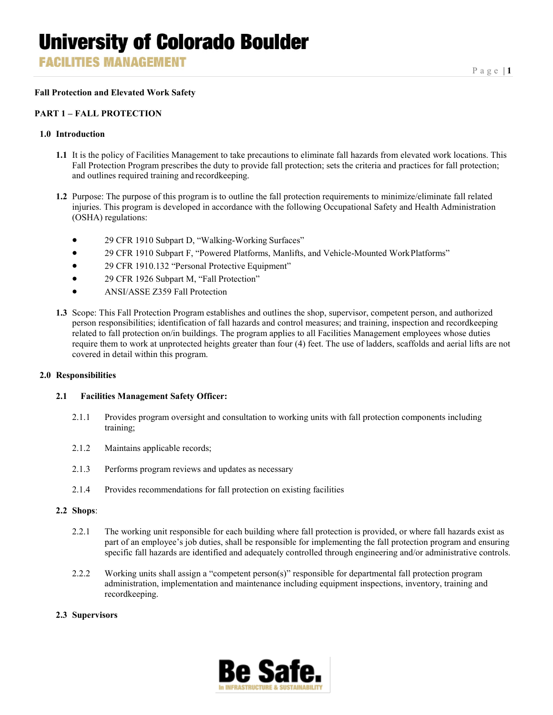**FACILITIES MANAGEMENT** 

#### **Fall Protection and Elevated Work Safety**

#### **PART 1 – FALL PROTECTION**

#### **1.0 Introduction**

- **1.1** It is the policy of Facilities Management to take precautions to eliminate fall hazards from elevated work locations. This Fall Protection Program prescribes the duty to provide fall protection; sets the criteria and practices for fall protection; and outlines required training and recordkeeping.
- **1.2** Purpose: The purpose of this program is to outline the fall protection requirements to minimize/eliminate fall related injuries. This program is developed in accordance with the following Occupational Safety and Health Administration (OSHA) regulations:
	- 29 CFR 1910 Subpart D, "Walking-Working Surfaces"
	- 29 CFR 1910 Subpart F, "Powered Platforms, Manlifts, and Vehicle-Mounted WorkPlatforms"
	- 29 CFR 1910.132 "Personal Protective Equipment"
	- 29 CFR 1926 Subpart M, "Fall Protection"
	- ANSI/ASSE Z359 Fall Protection
- **1.3** Scope: This Fall Protection Program establishes and outlines the shop, supervisor, competent person, and authorized person responsibilities; identification of fall hazards and control measures; and training, inspection and recordkeeping related to fall protection on/in buildings. The program applies to all Facilities Management employees whose duties require them to work at unprotected heights greater than four (4) feet. The use of ladders, scaffolds and aerial lifts are not covered in detail within this program.

#### **2.0 Responsibilities**

#### **2.1 Facilities Management Safety Officer:**

- 2.1.1 Provides program oversight and consultation to working units with fall protection components including training;
- 2.1.2 Maintains applicable records;
- 2.1.3 Performs program reviews and updates as necessary
- 2.1.4 Provides recommendations for fall protection on existing facilities

#### **2.2 Shops**:

- 2.2.1 The working unit responsible for each building where fall protection is provided, or where fall hazards exist as part of an employee's job duties, shall be responsible for implementing the fall protection program and ensuring specific fall hazards are identified and adequately controlled through engineering and/or administrative controls.
- 2.2.2 Working units shall assign a "competent person(s)" responsible for departmental fall protection program administration, implementation and maintenance including equipment inspections, inventory, training and recordkeeping.

#### **2.3 Supervisors**

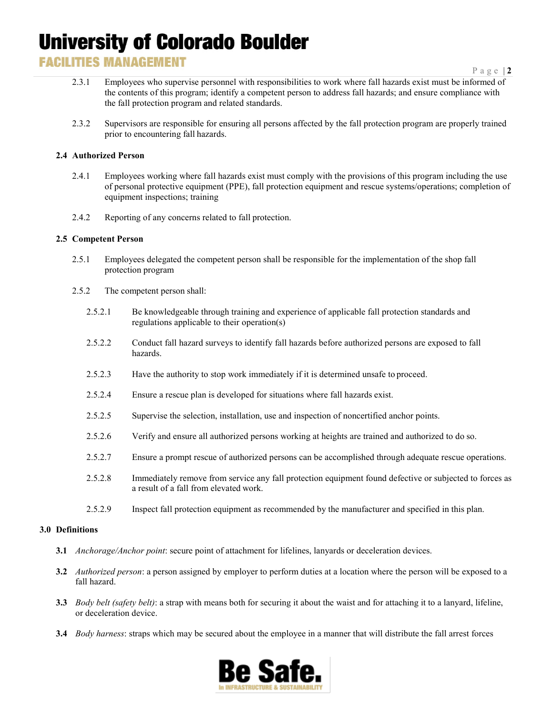### **FACILITIES MANAGEMENT**

- 2.3.1 Employees who supervise personnel with responsibilities to work where fall hazards exist must be informed of the contents of this program; identify a competent person to address fall hazards; and ensure compliance with the fall protection program and related standards.
- 2.3.2 Supervisors are responsible for ensuring all persons affected by the fall protection program are properly trained prior to encountering fall hazards.

#### **2.4 Authorized Person**

- 2.4.1 Employees working where fall hazards exist must comply with the provisions of this program including the use of personal protective equipment (PPE), fall protection equipment and rescue systems/operations; completion of equipment inspections; training
- 2.4.2 Reporting of any concerns related to fall protection.

#### **2.5 Competent Person**

- 2.5.1 Employees delegated the competent person shall be responsible for the implementation of the shop fall protection program
- 2.5.2 The competent person shall:
	- 2.5.2.1 Be knowledgeable through training and experience of applicable fall protection standards and regulations applicable to their operation(s)
	- 2.5.2.2 Conduct fall hazard surveys to identify fall hazards before authorized persons are exposed to fall hazards.
	- 2.5.2.3 Have the authority to stop work immediately if it is determined unsafe to proceed.
	- 2.5.2.4 Ensure a rescue plan is developed for situations where fall hazards exist.
	- 2.5.2.5 Supervise the selection, installation, use and inspection of noncertified anchor points.
	- 2.5.2.6 Verify and ensure all authorized persons working at heights are trained and authorized to do so.
	- 2.5.2.7 Ensure a prompt rescue of authorized persons can be accomplished through adequate rescue operations.
	- 2.5.2.8 Immediately remove from service any fall protection equipment found defective or subjected to forces as a result of a fall from elevated work.
	- 2.5.2.9 Inspect fall protection equipment as recommended by the manufacturer and specified in this plan.

#### **3.0 Definitions**

- **3.1** *Anchorage/Anchor point*: secure point of attachment for lifelines, lanyards or deceleration devices.
- **3.2** *Authorized person*: a person assigned by employer to perform duties at a location where the person will be exposed to a fall hazard.
- **3.3** *Body belt (safety belt)*: a strap with means both for securing it about the waist and for attaching it to a lanyard, lifeline, or deceleration device.
- **3.4** *Body harness*: straps which may be secured about the employee in a manner that will distribute the fall arrest forces

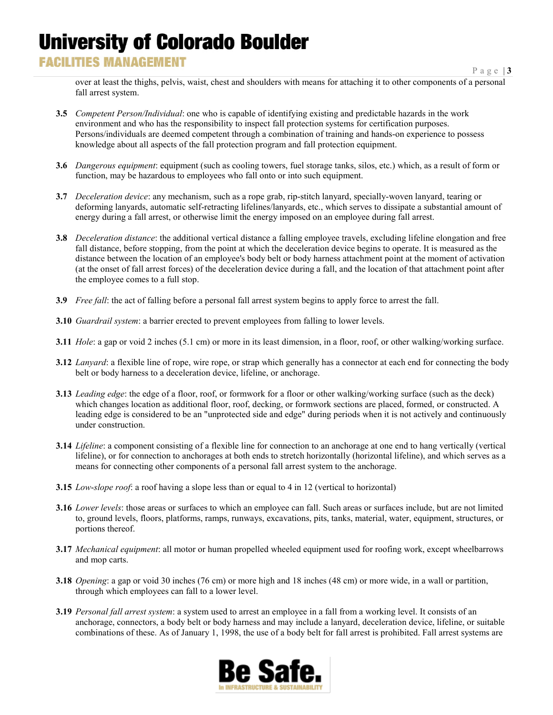### **FACILITIES MANAGEMENT**

over at least the thighs, pelvis, waist, chest and shoulders with means for attaching it to other components of a personal fall arrest system.

- **3.5** *Competent Person/Individual*: one who is capable of identifying existing and predictable hazards in the work environment and who has the responsibility to inspect fall protection systems for certification purposes. Persons/individuals are deemed competent through a combination of training and hands-on experience to possess knowledge about all aspects of the fall protection program and fall protection equipment.
- **3.6** *Dangerous equipment*: equipment (such as cooling towers, fuel storage tanks, silos, etc.) which, as a result of form or function, may be hazardous to employees who fall onto or into such equipment.
- **3.7** *Deceleration device*: any mechanism, such as a rope grab, rip-stitch lanyard, specially-woven lanyard, tearing or deforming lanyards, automatic self-retracting lifelines/lanyards, etc., which serves to dissipate a substantial amount of energy during a fall arrest, or otherwise limit the energy imposed on an employee during fall arrest.
- **3.8** *Deceleration distance*: the additional vertical distance a falling employee travels, excluding lifeline elongation and free fall distance, before stopping, from the point at which the deceleration device begins to operate. It is measured as the distance between the location of an employee's body belt or body harness attachment point at the moment of activation (at the onset of fall arrest forces) of the deceleration device during a fall, and the location of that attachment point after the employee comes to a full stop.
- **3.9** *Free fall*: the act of falling before a personal fall arrest system begins to apply force to arrest the fall.
- **3.10** *Guardrail system*: a barrier erected to prevent employees from falling to lower levels.
- **3.11** *Hole*: a gap or void 2 inches (5.1 cm) or more in its least dimension, in a floor, roof, or other walking/working surface.
- **3.12** *Lanyard*: a flexible line of rope, wire rope, or strap which generally has a connector at each end for connecting the body belt or body harness to a deceleration device, lifeline, or anchorage.
- **3.13** *Leading edge*: the edge of a floor, roof, or formwork for a floor or other walking/working surface (such as the deck) which changes location as additional floor, roof, decking, or formwork sections are placed, formed, or constructed. A leading edge is considered to be an "unprotected side and edge" during periods when it is not actively and continuously under construction.
- **3.14** *Lifeline*: a component consisting of a flexible line for connection to an anchorage at one end to hang vertically (vertical lifeline), or for connection to anchorages at both ends to stretch horizontally (horizontal lifeline), and which serves as a means for connecting other components of a personal fall arrest system to the anchorage.
- **3.15** *Low*-*slope roof*: a roof having a slope less than or equal to 4 in 12 (vertical to horizontal)
- **3.16** *Lower levels*: those areas or surfaces to which an employee can fall. Such areas or surfaces include, but are not limited to, ground levels, floors, platforms, ramps, runways, excavations, pits, tanks, material, water, equipment, structures, or portions thereof.
- **3.17** *Mechanical equipment*: all motor or human propelled wheeled equipment used for roofing work, except wheelbarrows and mop carts.
- **3.18** *Opening*: a gap or void 30 inches (76 cm) or more high and 18 inches (48 cm) or more wide, in a wall or partition, through which employees can fall to a lower level.
- **3.19** *Personal fall arrest system*: a system used to arrest an employee in a fall from a working level. It consists of an anchorage, connectors, a body belt or body harness and may include a lanyard, deceleration device, lifeline, or suitable combinations of these. As of January 1, 1998, the use of a body belt for fall arrest is prohibited. Fall arrest systems are

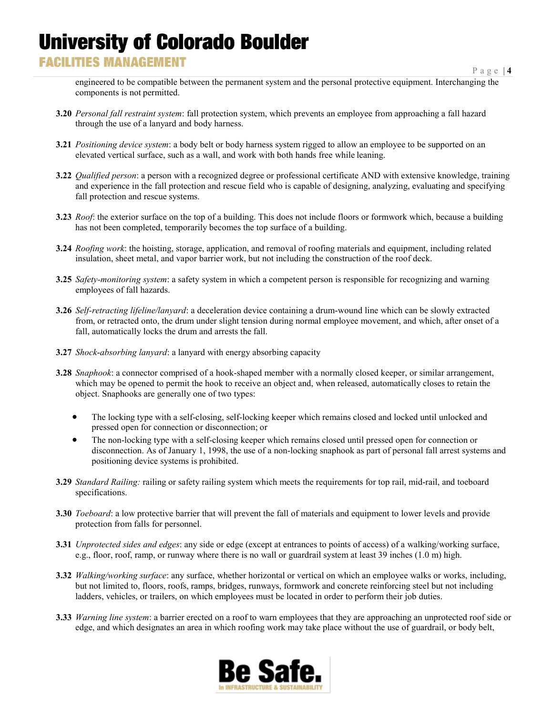### **FACILITIES MANAGEMENT**

engineered to be compatible between the permanent system and the personal protective equipment. Interchanging the components is not permitted.

- **3.20** *Personal fall restraint system*: fall protection system, which prevents an employee from approaching a fall hazard through the use of a lanyard and body harness.
- **3.21** *Positioning device system*: a body belt or body harness system rigged to allow an employee to be supported on an elevated vertical surface, such as a wall, and work with both hands free while leaning.
- **3.22** *Qualified person*: a person with a recognized degree or professional certificate AND with extensive knowledge, training and experience in the fall protection and rescue field who is capable of designing, analyzing, evaluating and specifying fall protection and rescue systems.
- **3.23** *Roof*: the exterior surface on the top of a building. This does not include floors or formwork which, because a building has not been completed, temporarily becomes the top surface of a building.
- **3.24** *Roofing work*: the hoisting, storage, application, and removal of roofing materials and equipment, including related insulation, sheet metal, and vapor barrier work, but not including the construction of the roof deck.
- **3.25** *Safety-monitoring system*: a safety system in which a competent person is responsible for recognizing and warning employees of fall hazards.
- **3.26** *Self-retracting lifeline/lanyard*: a deceleration device containing a drum-wound line which can be slowly extracted from, or retracted onto, the drum under slight tension during normal employee movement, and which, after onset of a fall, automatically locks the drum and arrests the fall.
- **3.27** *Shock*-*absorbing lanyard*: a lanyard with energy absorbing capacity
- **3.28** *Snaphook*: a connector comprised of a hook-shaped member with a normally closed keeper, or similar arrangement, which may be opened to permit the hook to receive an object and, when released, automatically closes to retain the object. Snaphooks are generally one of two types:
	- The locking type with a self-closing, self-locking keeper which remains closed and locked until unlocked and pressed open for connection or disconnection; or
	- The non-locking type with a self-closing keeper which remains closed until pressed open for connection or disconnection. As of January 1, 1998, the use of a non-locking snaphook as part of personal fall arrest systems and positioning device systems is prohibited.
- **3.29** *Standard Railing:* railing or safety railing system which meets the requirements for top rail, mid-rail, and toeboard specifications.
- **3.30** *Toeboard*: a low protective barrier that will prevent the fall of materials and equipment to lower levels and provide protection from falls for personnel.
- **3.31** *Unprotected sides and edges*: any side or edge (except at entrances to points of access) of a walking/working surface, e.g., floor, roof, ramp, or runway where there is no wall or guardrail system at least 39 inches (1.0 m) high.
- **3.32** *Walking/working surface*: any surface, whether horizontal or vertical on which an employee walks or works, including, but not limited to, floors, roofs, ramps, bridges, runways, formwork and concrete reinforcing steel but not including ladders, vehicles, or trailers, on which employees must be located in order to perform their job duties.
- **3.33** *Warning line system*: a barrier erected on a roof to warn employees that they are approaching an unprotected roof side or edge, and which designates an area in which roofing work may take place without the use of guardrail, or body belt,

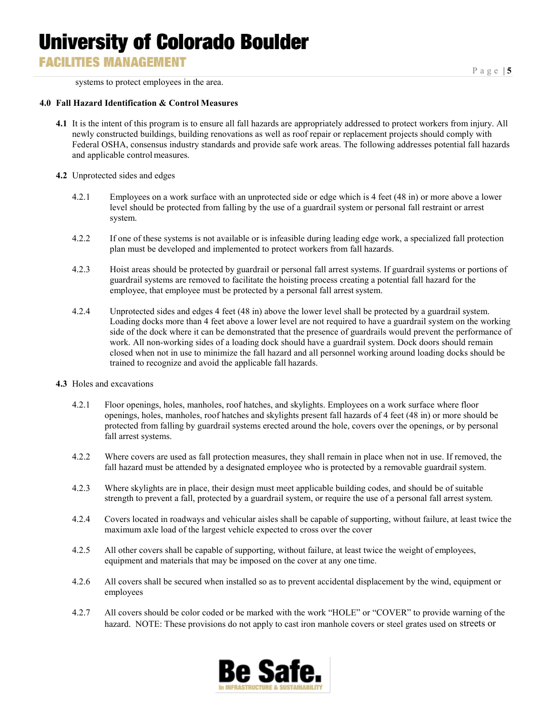### **FACILITIES MANAGEMENT**

systems to protect employees in the area.

#### **4.0 Fall Hazard Identification & Control Measures**

- **4.1** It is the intent of this program is to ensure all fall hazards are appropriately addressed to protect workers from injury. All newly constructed buildings, building renovations as well as roof repair or replacement projects should comply with Federal OSHA, consensus industry standards and provide safe work areas. The following addresses potential fall hazards and applicable control measures.
- **4.2** Unprotected sides and edges
	- 4.2.1 Employees on a work surface with an unprotected side or edge which is 4 feet (48 in) or more above a lower level should be protected from falling by the use of a guardrail system or personal fall restraint or arrest system.
	- 4.2.2 If one of these systems is not available or is infeasible during leading edge work, a specialized fall protection plan must be developed and implemented to protect workers from fall hazards.
	- 4.2.3 Hoist areas should be protected by guardrail or personal fall arrest systems. If guardrail systems or portions of guardrail systems are removed to facilitate the hoisting process creating a potential fall hazard for the employee, that employee must be protected by a personal fall arrest system.
	- 4.2.4 Unprotected sides and edges 4 feet (48 in) above the lower level shall be protected by a guardrail system. Loading docks more than 4 feet above a lower level are not required to have a guardrail system on the working side of the dock where it can be demonstrated that the presence of guardrails would prevent the performance of work. All non-working sides of a loading dock should have a guardrail system. Dock doors should remain closed when not in use to minimize the fall hazard and all personnel working around loading docks should be trained to recognize and avoid the applicable fall hazards.

#### **4.3** Holes and excavations

- 4.2.1 Floor openings, holes, manholes, roof hatches, and skylights. Employees on a work surface where floor openings, holes, manholes, roof hatches and skylights present fall hazards of 4 feet (48 in) or more should be protected from falling by guardrail systems erected around the hole, covers over the openings, or by personal fall arrest systems.
- 4.2.2 Where covers are used as fall protection measures, they shall remain in place when not in use. If removed, the fall hazard must be attended by a designated employee who is protected by a removable guardrail system.
- 4.2.3 Where skylights are in place, their design must meet applicable building codes, and should be of suitable strength to prevent a fall, protected by a guardrail system, or require the use of a personal fall arrest system.
- 4.2.4 Covers located in roadways and vehicular aisles shall be capable of supporting, without failure, at least twice the maximum axle load of the largest vehicle expected to cross over the cover
- 4.2.5 All other covers shall be capable of supporting, without failure, at least twice the weight of employees, equipment and materials that may be imposed on the cover at any one time.
- 4.2.6 All covers shall be secured when installed so as to prevent accidental displacement by the wind, equipment or employees
- 4.2.7 All covers should be color coded or be marked with the work "HOLE" or "COVER" to provide warning of the hazard. NOTE: These provisions do not apply to cast iron manhole covers or steel grates used on streets or

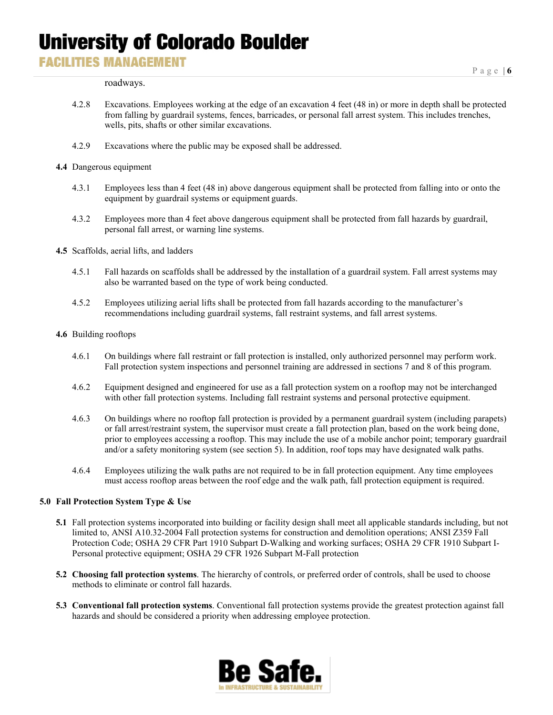### **FACILITIES MANAGEMENT**

roadways.

- 4.2.8 Excavations. Employees working at the edge of an excavation 4 feet (48 in) or more in depth shall be protected from falling by guardrail systems, fences, barricades, or personal fall arrest system. This includes trenches, wells, pits, shafts or other similar excavations.
- 4.2.9 Excavations where the public may be exposed shall be addressed.
- **4.4** Dangerous equipment
	- 4.3.1 Employees less than 4 feet (48 in) above dangerous equipment shall be protected from falling into or onto the equipment by guardrail systems or equipment guards.
	- 4.3.2 Employees more than 4 feet above dangerous equipment shall be protected from fall hazards by guardrail, personal fall arrest, or warning line systems.
- **4.5** Scaffolds, aerial lifts, and ladders
	- 4.5.1 Fall hazards on scaffolds shall be addressed by the installation of a guardrail system. Fall arrest systems may also be warranted based on the type of work being conducted.
	- 4.5.2 Employees utilizing aerial lifts shall be protected from fall hazards according to the manufacturer's recommendations including guardrail systems, fall restraint systems, and fall arrest systems.
- **4.6** Building rooftops
	- 4.6.1 On buildings where fall restraint or fall protection is installed, only authorized personnel may perform work. Fall protection system inspections and personnel training are addressed in sections 7 and 8 of this program.
	- 4.6.2 Equipment designed and engineered for use as a fall protection system on a rooftop may not be interchanged with other fall protection systems. Including fall restraint systems and personal protective equipment.
	- 4.6.3 On buildings where no rooftop fall protection is provided by a permanent guardrail system (including parapets) or fall arrest/restraint system, the supervisor must create a fall protection plan, based on the work being done, prior to employees accessing a rooftop. This may include the use of a mobile anchor point; temporary guardrail and/or a safety monitoring system (see section 5). In addition, roof tops may have designated walk paths.
	- 4.6.4 Employees utilizing the walk paths are not required to be in fall protection equipment. Any time employees must access rooftop areas between the roof edge and the walk path, fall protection equipment is required.

#### **5.0 Fall Protection System Type & Use**

- **5.1** Fall protection systems incorporated into building or facility design shall meet all applicable standards including, but not limited to, ANSI A10.32-2004 Fall protection systems for construction and demolition operations; ANSI Z359 Fall Protection Code; OSHA 29 CFR Part 1910 Subpart D-Walking and working surfaces; OSHA 29 CFR 1910 Subpart I-Personal protective equipment; OSHA 29 CFR 1926 Subpart M-Fall protection
- **5.2 Choosing fall protection systems**. The hierarchy of controls, or preferred order of controls, shall be used to choose methods to eliminate or control fall hazards.
- **5.3 Conventional fall protection systems**. Conventional fall protection systems provide the greatest protection against fall hazards and should be considered a priority when addressing employee protection.

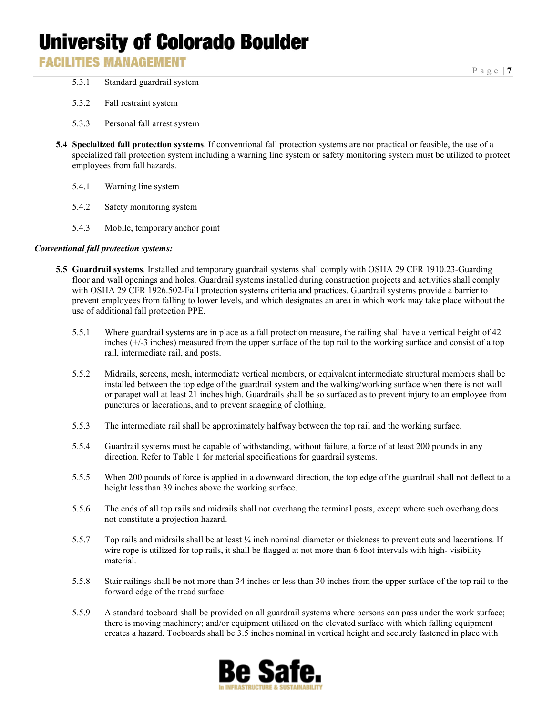### **FACILITIES MANAGEMENT**

- 5.3.1 Standard guardrail system
- 5.3.2 Fall restraint system
- 5.3.3 Personal fall arrest system
- **5.4 Specialized fall protection systems**. If conventional fall protection systems are not practical or feasible, the use of a specialized fall protection system including a warning line system or safety monitoring system must be utilized to protect employees from fall hazards.
	- 5.4.1 Warning line system
	- 5.4.2 Safety monitoring system
	- 5.4.3 Mobile, temporary anchor point

#### *Conventional fall protection systems:*

- **5.5 Guardrail systems**. Installed and temporary guardrail systems shall comply with OSHA 29 CFR 1910.23-Guarding floor and wall openings and holes. Guardrail systems installed during construction projects and activities shall comply with OSHA 29 CFR 1926.502-Fall protection systems criteria and practices. Guardrail systems provide a barrier to prevent employees from falling to lower levels, and which designates an area in which work may take place without the use of additional fall protection PPE.
	- 5.5.1 Where guardrail systems are in place as a fall protection measure, the railing shall have a vertical height of 42 inches (+/-3 inches) measured from the upper surface of the top rail to the working surface and consist of a top rail, intermediate rail, and posts.
	- 5.5.2 Midrails, screens, mesh, intermediate vertical members, or equivalent intermediate structural members shall be installed between the top edge of the guardrail system and the walking/working surface when there is not wall or parapet wall at least 21 inches high. Guardrails shall be so surfaced as to prevent injury to an employee from punctures or lacerations, and to prevent snagging of clothing.
	- 5.5.3 The intermediate rail shall be approximately halfway between the top rail and the working surface.
	- 5.5.4 Guardrail systems must be capable of withstanding, without failure, a force of at least 200 pounds in any direction. Refer to Table 1 for material specifications for guardrail systems.
	- 5.5.5 When 200 pounds of force is applied in a downward direction, the top edge of the guardrail shall not deflect to a height less than 39 inches above the working surface.
	- 5.5.6 The ends of all top rails and midrails shall not overhang the terminal posts, except where such overhang does not constitute a projection hazard.
	- 5.5.7 Top rails and midrails shall be at least ¼ inch nominal diameter or thickness to prevent cuts and lacerations. If wire rope is utilized for top rails, it shall be flagged at not more than 6 foot intervals with high- visibility material.
	- 5.5.8 Stair railings shall be not more than 34 inches or less than 30 inches from the upper surface of the top rail to the forward edge of the tread surface.
	- 5.5.9 A standard toeboard shall be provided on all guardrail systems where persons can pass under the work surface; there is moving machinery; and/or equipment utilized on the elevated surface with which falling equipment creates a hazard. Toeboards shall be 3.5 inches nominal in vertical height and securely fastened in place with

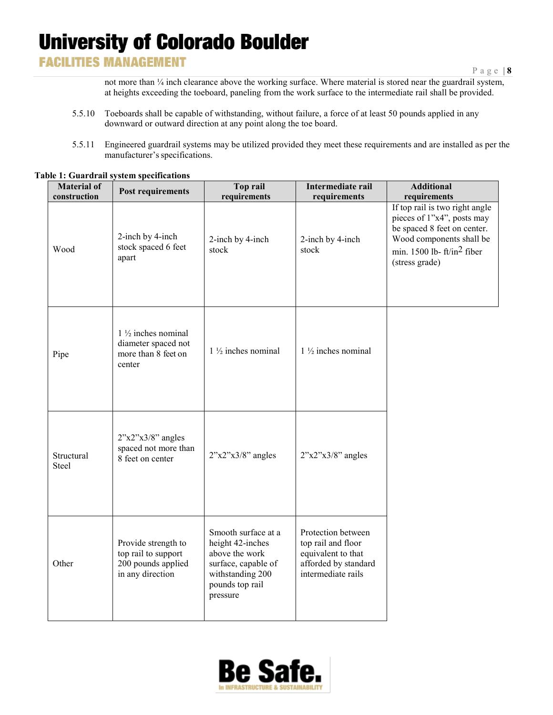### **FACILITIES MANAGEMENT**

not more than ¼ inch clearance above the working surface. Where material is stored near the guardrail system, at heights exceeding the toeboard, paneling from the work surface to the intermediate rail shall be provided.

- 5.5.10 Toeboards shall be capable of withstanding, without failure, a force of at least 50 pounds applied in any downward or outward direction at any point along the toe board.
- 5.5.11 Engineered guardrail systems may be utilized provided they meet these requirements and are installed as per the manufacturer's specifications.

| <b>Material of</b><br>construction | <b>Post requirements</b>                                                              | Top rail<br>requirements                                                                                                            | Intermediate rail<br>requirements                                                                            | <b>Additional</b><br>requirements                                                                                                                                         |
|------------------------------------|---------------------------------------------------------------------------------------|-------------------------------------------------------------------------------------------------------------------------------------|--------------------------------------------------------------------------------------------------------------|---------------------------------------------------------------------------------------------------------------------------------------------------------------------------|
| Wood                               | 2-inch by 4-inch<br>stock spaced 6 feet<br>apart                                      | 2-inch by 4-inch<br>stock                                                                                                           | 2-inch by 4-inch<br>stock                                                                                    | If top rail is two right angle<br>pieces of 1"x4", posts may<br>be spaced 8 feet on center.<br>Wood components shall be<br>min. 1500 lb- $ft/in2$ fiber<br>(stress grade) |
| Pipe                               | $1\frac{1}{2}$ inches nominal<br>diameter spaced not<br>more than 8 feet on<br>center | $1\frac{1}{2}$ inches nominal                                                                                                       | $1\frac{1}{2}$ inches nominal                                                                                |                                                                                                                                                                           |
| Structural<br>Steel                | $2"x2"x3/8"$ angles<br>spaced not more than<br>8 feet on center                       | $2"x2"x3/8"$ angles                                                                                                                 | $2"x2"x3/8"$ angles                                                                                          |                                                                                                                                                                           |
| Other                              | Provide strength to<br>top rail to support<br>200 pounds applied<br>in any direction  | Smooth surface at a<br>height 42-inches<br>above the work<br>surface, capable of<br>withstanding 200<br>pounds top rail<br>pressure | Protection between<br>top rail and floor<br>equivalent to that<br>afforded by standard<br>intermediate rails |                                                                                                                                                                           |

#### **Table 1: Guardrail system specifications**

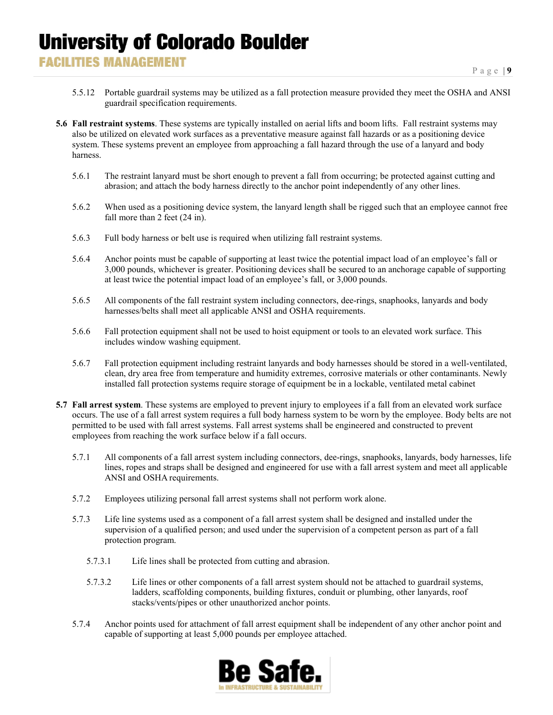- 5.5.12 Portable guardrail systems may be utilized as a fall protection measure provided they meet the OSHA and ANSI guardrail specification requirements.
- **5.6 Fall restraint systems**. These systems are typically installed on aerial lifts and boom lifts. Fall restraint systems may also be utilized on elevated work surfaces as a preventative measure against fall hazards or as a positioning device system. These systems prevent an employee from approaching a fall hazard through the use of a lanyard and body harness.
	- 5.6.1 The restraint lanyard must be short enough to prevent a fall from occurring; be protected against cutting and abrasion; and attach the body harness directly to the anchor point independently of any other lines.
	- 5.6.2 When used as a positioning device system, the lanyard length shall be rigged such that an employee cannot free fall more than 2 feet (24 in).
	- 5.6.3 Full body harness or belt use is required when utilizing fall restraint systems.
	- 5.6.4 Anchor points must be capable of supporting at least twice the potential impact load of an employee's fall or 3,000 pounds, whichever is greater. Positioning devices shall be secured to an anchorage capable of supporting at least twice the potential impact load of an employee's fall, or 3,000 pounds.
	- 5.6.5 All components of the fall restraint system including connectors, dee-rings, snaphooks, lanyards and body harnesses/belts shall meet all applicable ANSI and OSHA requirements.
	- 5.6.6 Fall protection equipment shall not be used to hoist equipment or tools to an elevated work surface. This includes window washing equipment.
	- 5.6.7 Fall protection equipment including restraint lanyards and body harnesses should be stored in a well-ventilated, clean, dry area free from temperature and humidity extremes, corrosive materials or other contaminants. Newly installed fall protection systems require storage of equipment be in a lockable, ventilated metal cabinet
- **5.7 Fall arrest system**. These systems are employed to prevent injury to employees if a fall from an elevated work surface occurs. The use of a fall arrest system requires a full body harness system to be worn by the employee. Body belts are not permitted to be used with fall arrest systems. Fall arrest systems shall be engineered and constructed to prevent employees from reaching the work surface below if a fall occurs.
	- 5.7.1 All components of a fall arrest system including connectors, dee-rings, snaphooks, lanyards, body harnesses, life lines, ropes and straps shall be designed and engineered for use with a fall arrest system and meet all applicable ANSI and OSHA requirements.
	- 5.7.2 Employees utilizing personal fall arrest systems shall not perform work alone.
	- 5.7.3 Life line systems used as a component of a fall arrest system shall be designed and installed under the supervision of a qualified person; and used under the supervision of a competent person as part of a fall protection program.
		- 5.7.3.1 Life lines shall be protected from cutting and abrasion.
		- 5.7.3.2 Life lines or other components of a fall arrest system should not be attached to guardrail systems, ladders, scaffolding components, building fixtures, conduit or plumbing, other lanyards, roof stacks/vents/pipes or other unauthorized anchor points.
	- 5.7.4 Anchor points used for attachment of fall arrest equipment shall be independent of any other anchor point and capable of supporting at least 5,000 pounds per employee attached.

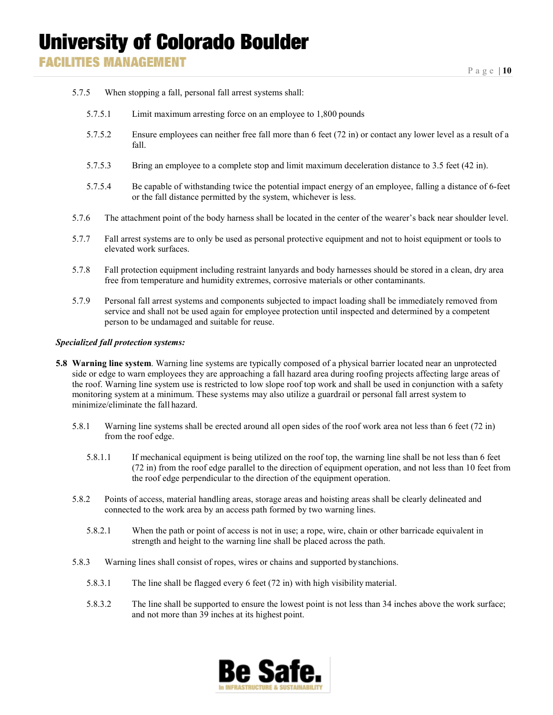- 5.7.5 When stopping a fall, personal fall arrest systems shall:
	- 5.7.5.1 Limit maximum arresting force on an employee to 1,800 pounds
	- 5.7.5.2 Ensure employees can neither free fall more than 6 feet (72 in) or contact any lower level as a result of a fall.
	- 5.7.5.3 Bring an employee to a complete stop and limit maximum deceleration distance to 3.5 feet (42 in).
	- 5.7.5.4 Be capable of withstanding twice the potential impact energy of an employee, falling a distance of 6-feet or the fall distance permitted by the system, whichever is less.
- 5.7.6 The attachment point of the body harness shall be located in the center of the wearer's back near shoulder level.
- 5.7.7 Fall arrest systems are to only be used as personal protective equipment and not to hoist equipment or tools to elevated work surfaces.
- 5.7.8 Fall protection equipment including restraint lanyards and body harnesses should be stored in a clean, dry area free from temperature and humidity extremes, corrosive materials or other contaminants.
- 5.7.9 Personal fall arrest systems and components subjected to impact loading shall be immediately removed from service and shall not be used again for employee protection until inspected and determined by a competent person to be undamaged and suitable for reuse.

#### *Specialized fall protection systems:*

- **5.8 Warning line system**. Warning line systems are typically composed of a physical barrier located near an unprotected side or edge to warn employees they are approaching a fall hazard area during roofing projects affecting large areas of the roof. Warning line system use is restricted to low slope roof top work and shall be used in conjunction with a safety monitoring system at a minimum. These systems may also utilize a guardrail or personal fall arrest system to minimize/eliminate the fall hazard.
	- 5.8.1 Warning line systems shall be erected around all open sides of the roof work area not less than 6 feet (72 in) from the roof edge.
		- 5.8.1.1 If mechanical equipment is being utilized on the roof top, the warning line shall be not less than 6 feet (72 in) from the roof edge parallel to the direction of equipment operation, and not less than 10 feet from the roof edge perpendicular to the direction of the equipment operation.
	- 5.8.2 Points of access, material handling areas, storage areas and hoisting areas shall be clearly delineated and connected to the work area by an access path formed by two warning lines.
		- 5.8.2.1 When the path or point of access is not in use; a rope, wire, chain or other barricade equivalent in strength and height to the warning line shall be placed across the path.
	- 5.8.3 Warning lines shall consist of ropes, wires or chains and supported bystanchions.
		- 5.8.3.1 The line shall be flagged every 6 feet (72 in) with high visibility material.
		- 5.8.3.2 The line shall be supported to ensure the lowest point is not less than 34 inches above the work surface; and not more than 39 inches at its highest point.

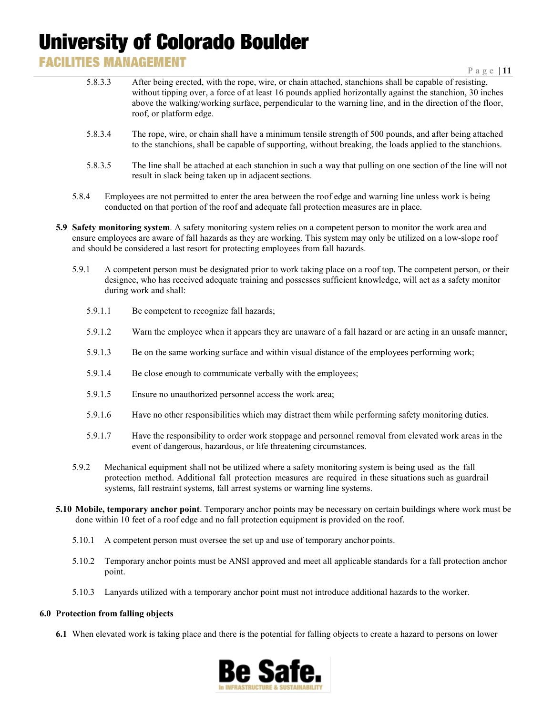### **FACILITIES MANAGEMENT**

- 5.8.3.3 After being erected, with the rope, wire, or chain attached, stanchions shall be capable of resisting, without tipping over, a force of at least 16 pounds applied horizontally against the stanchion, 30 inches above the walking/working surface, perpendicular to the warning line, and in the direction of the floor, roof, or platform edge.
- 5.8.3.4 The rope, wire, or chain shall have a minimum tensile strength of 500 pounds, and after being attached to the stanchions, shall be capable of supporting, without breaking, the loads applied to the stanchions.
- 5.8.3.5 The line shall be attached at each stanchion in such a way that pulling on one section of the line will not result in slack being taken up in adjacent sections.
- 5.8.4 Employees are not permitted to enter the area between the roof edge and warning line unless work is being conducted on that portion of the roof and adequate fall protection measures are in place.
- **5.9 Safety monitoring system**. A safety monitoring system relies on a competent person to monitor the work area and ensure employees are aware of fall hazards as they are working. This system may only be utilized on a low-slope roof and should be considered a last resort for protecting employees from fall hazards.
	- 5.9.1 A competent person must be designated prior to work taking place on a roof top. The competent person, or their designee, who has received adequate training and possesses sufficient knowledge, will act as a safety monitor during work and shall:
		- 5.9.1.1 Be competent to recognize fall hazards;
		- 5.9.1.2 Warn the employee when it appears they are unaware of a fall hazard or are acting in an unsafe manner;
		- 5.9.1.3 Be on the same working surface and within visual distance of the employees performing work;
		- 5.9.1.4 Be close enough to communicate verbally with the employees;
		- 5.9.1.5 Ensure no unauthorized personnel access the work area;
		- 5.9.1.6 Have no other responsibilities which may distract them while performing safety monitoring duties.
		- 5.9.1.7 Have the responsibility to order work stoppage and personnel removal from elevated work areas in the event of dangerous, hazardous, or life threatening circumstances.
	- 5.9.2 Mechanical equipment shall not be utilized where a safety monitoring system is being used as the fall protection method. Additional fall protection measures are required in these situations such as guardrail systems, fall restraint systems, fall arrest systems or warning line systems.
- **5.10 Mobile, temporary anchor point**. Temporary anchor points may be necessary on certain buildings where work must be done within 10 feet of a roof edge and no fall protection equipment is provided on the roof.
	- 5.10.1 A competent person must oversee the set up and use of temporary anchor points.
	- 5.10.2 Temporary anchor points must be ANSI approved and meet all applicable standards for a fall protection anchor point.
	- 5.10.3 Lanyards utilized with a temporary anchor point must not introduce additional hazards to the worker.

#### **6.0 Protection from falling objects**

**6.1** When elevated work is taking place and there is the potential for falling objects to create a hazard to persons on lower

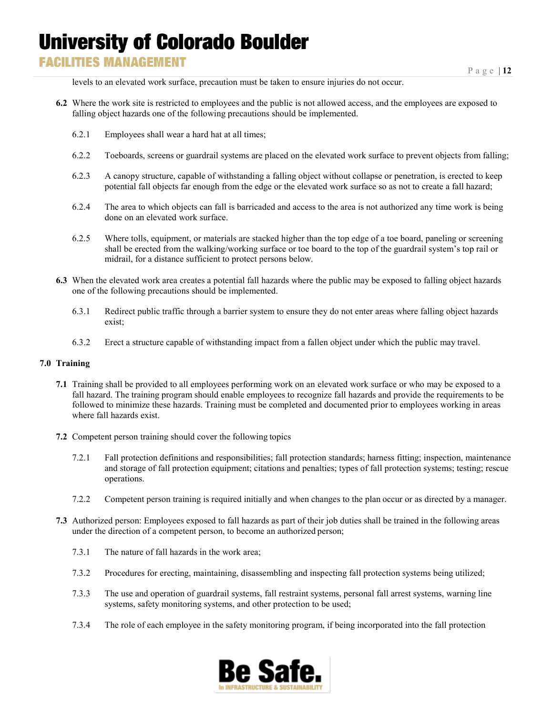### **FACILITIES MANAGEMENT**

levels to an elevated work surface, precaution must be taken to ensure injuries do not occur.

- **6.2** Where the work site is restricted to employees and the public is not allowed access, and the employees are exposed to falling object hazards one of the following precautions should be implemented.
	- 6.2.1 Employees shall wear a hard hat at all times;
	- 6.2.2 Toeboards, screens or guardrail systems are placed on the elevated work surface to prevent objects from falling;
	- 6.2.3 A canopy structure, capable of withstanding a falling object without collapse or penetration, is erected to keep potential fall objects far enough from the edge or the elevated work surface so as not to create a fall hazard;
	- 6.2.4 The area to which objects can fall is barricaded and access to the area is not authorized any time work is being done on an elevated work surface.
	- 6.2.5 Where tolls, equipment, or materials are stacked higher than the top edge of a toe board, paneling or screening shall be erected from the walking/working surface or toe board to the top of the guardrail system's top rail or midrail, for a distance sufficient to protect persons below.
- **6.3** When the elevated work area creates a potential fall hazards where the public may be exposed to falling object hazards one of the following precautions should be implemented.
	- 6.3.1 Redirect public traffic through a barrier system to ensure they do not enter areas where falling object hazards exist;
	- 6.3.2 Erect a structure capable of withstanding impact from a fallen object under which the public may travel.

#### **7.0 Training**

- **7.1** Training shall be provided to all employees performing work on an elevated work surface or who may be exposed to a fall hazard. The training program should enable employees to recognize fall hazards and provide the requirements to be followed to minimize these hazards. Training must be completed and documented prior to employees working in areas where fall hazards exist.
- **7.2** Competent person training should cover the following topics
	- 7.2.1 Fall protection definitions and responsibilities; fall protection standards; harness fitting; inspection, maintenance and storage of fall protection equipment; citations and penalties; types of fall protection systems; testing; rescue operations.
	- 7.2.2 Competent person training is required initially and when changes to the plan occur or as directed by a manager.
- **7.3** Authorized person: Employees exposed to fall hazards as part of their job duties shall be trained in the following areas under the direction of a competent person, to become an authorized person;
	- 7.3.1 The nature of fall hazards in the work area;
	- 7.3.2 Procedures for erecting, maintaining, disassembling and inspecting fall protection systems being utilized;
	- 7.3.3 The use and operation of guardrail systems, fall restraint systems, personal fall arrest systems, warning line systems, safety monitoring systems, and other protection to be used;
	- 7.3.4 The role of each employee in the safety monitoring program, if being incorporated into the fall protection

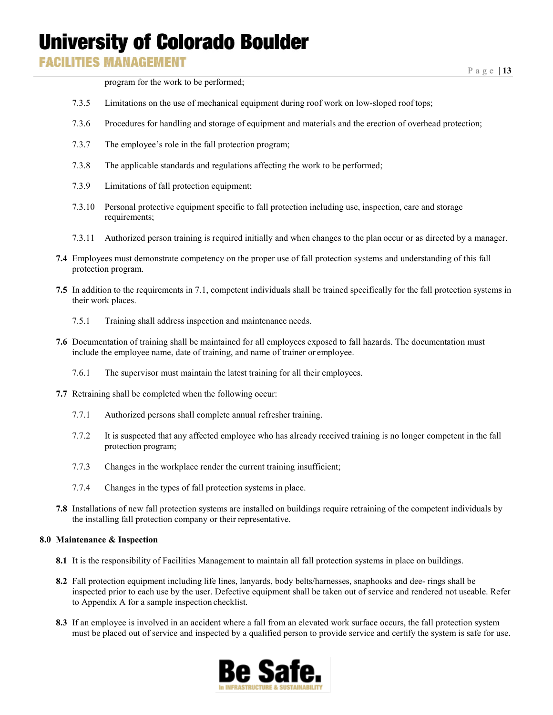**FACILITIES MANAGEMENT** 

program for the work to be performed;

- 7.3.5 Limitations on the use of mechanical equipment during roof work on low-sloped roof tops;
- 7.3.6 Procedures for handling and storage of equipment and materials and the erection of overhead protection;
- 7.3.7 The employee's role in the fall protection program;
- 7.3.8 The applicable standards and regulations affecting the work to be performed;
- 7.3.9 Limitations of fall protection equipment;
- 7.3.10 Personal protective equipment specific to fall protection including use, inspection, care and storage requirements;
- 7.3.11 Authorized person training is required initially and when changes to the plan occur or as directed by a manager.
- **7.4** Employees must demonstrate competency on the proper use of fall protection systems and understanding of this fall protection program.
- **7.5** In addition to the requirements in 7.1, competent individuals shall be trained specifically for the fall protection systems in their work places.
	- 7.5.1 Training shall address inspection and maintenance needs.
- **7.6** Documentation of training shall be maintained for all employees exposed to fall hazards. The documentation must include the employee name, date of training, and name of trainer or employee.
	- 7.6.1 The supervisor must maintain the latest training for all their employees.
- **7.7** Retraining shall be completed when the following occur:
	- 7.7.1 Authorized persons shall complete annual refresher training.
	- 7.7.2 It is suspected that any affected employee who has already received training is no longer competent in the fall protection program;
	- 7.7.3 Changes in the workplace render the current training insufficient;
	- 7.7.4 Changes in the types of fall protection systems in place.
- **7.8** Installations of new fall protection systems are installed on buildings require retraining of the competent individuals by the installing fall protection company or their representative.

#### **8.0 Maintenance & Inspection**

- **8.1** It is the responsibility of Facilities Management to maintain all fall protection systems in place on buildings.
- **8.2** Fall protection equipment including life lines, lanyards, body belts/harnesses, snaphooks and dee- rings shall be inspected prior to each use by the user. Defective equipment shall be taken out of service and rendered not useable. Refer to Appendix A for a sample inspection checklist.
- **8.3** If an employee is involved in an accident where a fall from an elevated work surface occurs, the fall protection system must be placed out of service and inspected by a qualified person to provide service and certify the system is safe for use.

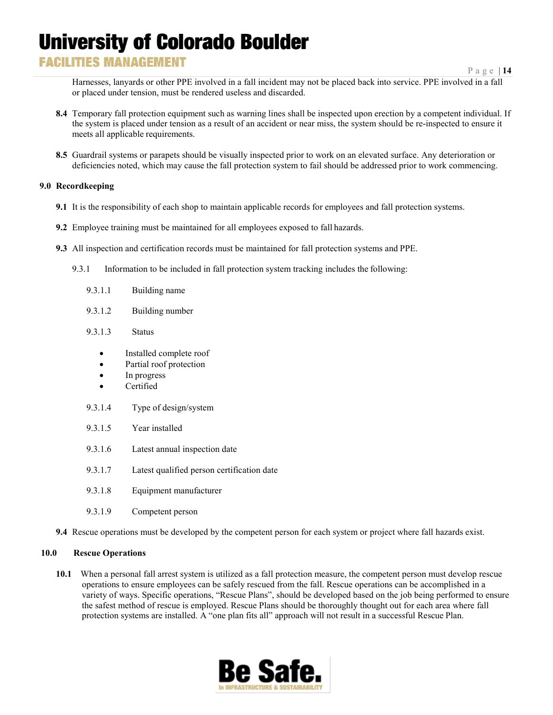### **FACILITIES MANAGEMENT**

Page | **14**

Harnesses, lanyards or other PPE involved in a fall incident may not be placed back into service. PPE involved in a fall or placed under tension, must be rendered useless and discarded.

- **8.4** Temporary fall protection equipment such as warning lines shall be inspected upon erection by a competent individual. If the system is placed under tension as a result of an accident or near miss, the system should be re-inspected to ensure it meets all applicable requirements.
- **8.5** Guardrail systems or parapets should be visually inspected prior to work on an elevated surface. Any deterioration or deficiencies noted, which may cause the fall protection system to fail should be addressed prior to work commencing.

#### **9.0 Recordkeeping**

- **9.1** It is the responsibility of each shop to maintain applicable records for employees and fall protection systems.
- **9.2** Employee training must be maintained for all employees exposed to fall hazards.
- **9.3** All inspection and certification records must be maintained for fall protection systems and PPE.
	- 9.3.1 Information to be included in fall protection system tracking includes the following:
		- 9.3.1.1 Building name
		- 9.3.1.2 Building number
		- 9.3.1.3 Status
			- Installed complete roof
			- Partial roof protection
			- In progress
			- Certified
		- 9.3.1.4 Type of design/system
		- 9.3.1.5 Year installed
		- 9.3.1.6 Latest annual inspection date
		- 9.3.1.7 Latest qualified person certification date
		- 9.3.1.8 Equipment manufacturer
		- 9.3.1.9 Competent person
- **9.4** Rescue operations must be developed by the competent person for each system or project where fall hazards exist.

#### **10.0 Rescue Operations**

**10.1** When a personal fall arrest system is utilized as a fall protection measure, the competent person must develop rescue operations to ensure employees can be safely rescued from the fall. Rescue operations can be accomplished in a variety of ways. Specific operations, "Rescue Plans", should be developed based on the job being performed to ensure the safest method of rescue is employed. Rescue Plans should be thoroughly thought out for each area where fall protection systems are installed. A "one plan fits all" approach will not result in a successful Rescue Plan.

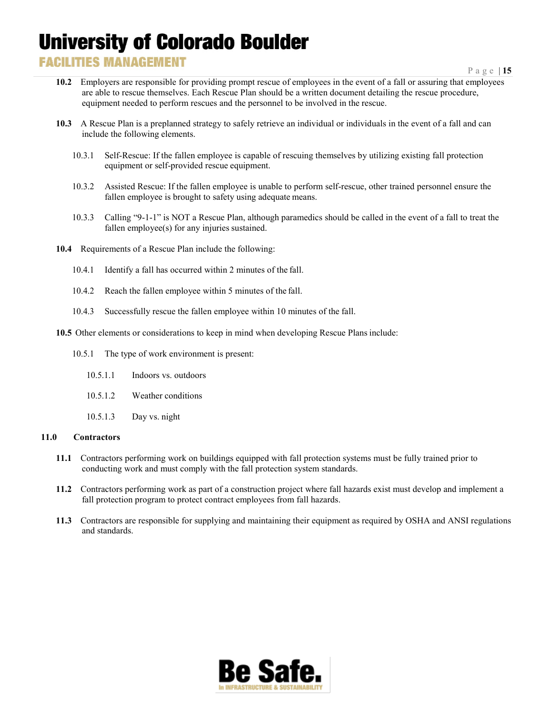### **FACILITIES MANAGEMENT**

- **10.2** Employers are responsible for providing prompt rescue of employees in the event of a fall or assuring that employees are able to rescue themselves. Each Rescue Plan should be a written document detailing the rescue procedure, equipment needed to perform rescues and the personnel to be involved in the rescue.
- **10.3** A Rescue Plan is a preplanned strategy to safely retrieve an individual or individuals in the event of a fall and can include the following elements.
	- 10.3.1 Self-Rescue: If the fallen employee is capable of rescuing themselves by utilizing existing fall protection equipment or self-provided rescue equipment.
	- 10.3.2 Assisted Rescue: If the fallen employee is unable to perform self-rescue, other trained personnel ensure the fallen employee is brought to safety using adequate means.
	- 10.3.3 Calling "9-1-1" is NOT a Rescue Plan, although paramedics should be called in the event of a fall to treat the fallen employee(s) for any injuries sustained.
- **10.4** Requirements of a Rescue Plan include the following:
	- 10.4.1 Identify a fall has occurred within 2 minutes of the fall.
	- 10.4.2 Reach the fallen employee within 5 minutes of the fall.
	- 10.4.3 Successfully rescue the fallen employee within 10 minutes of the fall.
- **10.5** Other elements or considerations to keep in mind when developing Rescue Plansinclude:
	- 10.5.1 The type of work environment is present:
		- 10.5.1.1 Indoors vs. outdoors
		- 10.5.1.2 Weather conditions
		- 10.5.1.3 Day vs. night

#### **11.0 Contractors**

- **11.1** Contractors performing work on buildings equipped with fall protection systems must be fully trained prior to conducting work and must comply with the fall protection system standards.
- **11.2** Contractors performing work as part of a construction project where fall hazards exist must develop and implement a fall protection program to protect contract employees from fall hazards.
- **11.3** Contractors are responsible for supplying and maintaining their equipment as required by OSHA and ANSI regulations and standards.

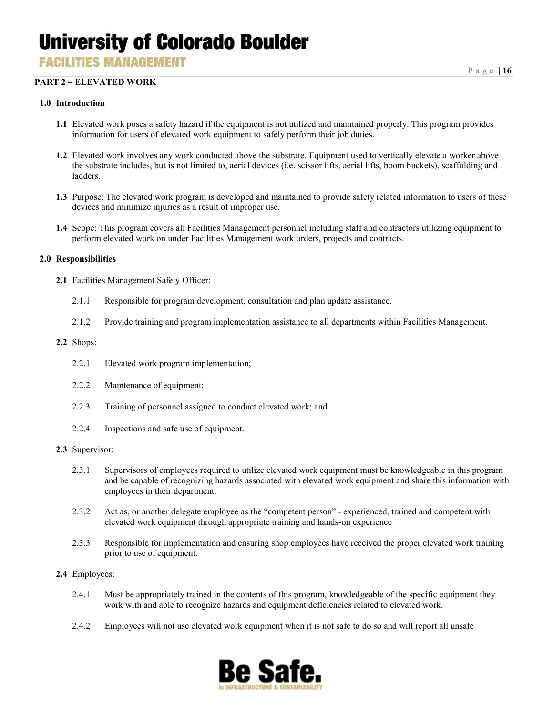**FACILITIES MANAGEMENT** 

#### **PART 2 – ELEVATED WORK**

#### **1.0 Introduction**

- **1.1** Elevated work poses a safety hazard if the equipment is not utilized and maintained properly. This program provides information for users of elevated work equipment to safely perform their job duties.
- **1.2** Elevated work involves any work conducted above the substrate. Equipment used to vertically elevate a worker above the substrate includes, but is not limited to, aerial devices (i.e. scissor lifts, aerial lifts, boom buckets), scaffolding and ladders.
- **1.3** Purpose: The elevated work program is developed and maintained to provide safety related information to users of these devices and minimize injuries as a result of improper use.
- **1.4** Scope: This program covers all Facilities Management personnel including staff and contractors utilizing equipment to perform elevated work on under Facilities Management work orders, projects and contracts.

#### **2.0 Responsibilities**

- **2.1** Facilities Management Safety Officer:
	- 2.1.1 Responsible for program development, consultation and plan update assistance.
	- 2.1.2 Provide training and program implementation assistance to all departments within Facilities Management.

#### **2.2** Shops:

- 2.2.1 Elevated work program implementation;
- 2.2.2 Maintenance of equipment;
- 2.2.3 Training of personnel assigned to conduct elevated work; and
- 2.2.4 Inspections and safe use of equipment.
- **2.3** Supervisor:
	- 2.3.1 Supervisors of employees required to utilize elevated work equipment must be knowledgeable in this program and be capable of recognizing hazards associated with elevated work equipment and share this information with employees in their department.
	- 2.3.2 Act as, or another delegate employee as the "competent person" experienced, trained and competent with elevated work equipment through appropriate training and hands-on experience
	- 2.3.3 Responsible for implementation and ensuring shop employees have received the proper elevated work training prior to use of equipment.
- **2.4** Employees:
	- 2.4.1 Must be appropriately trained in the contents of this program, knowledgeable of the specific equipment they work with and able to recognize hazards and equipment deficiencies related to elevated work.
	- 2.4.2 Employees will not use elevated work equipment when it is not safe to do so and will report all unsafe

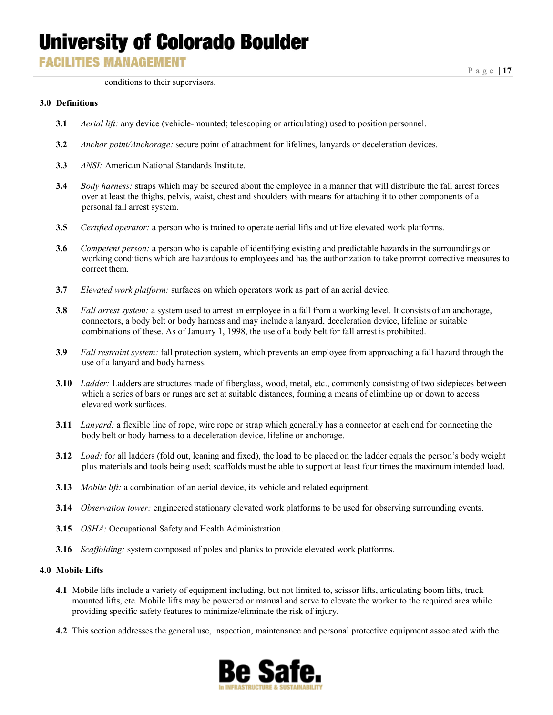**FACILITIES MANAGEMENT** 

Page | **17**

conditions to their supervisors.

#### **3.0 Definitions**

- **3.1** *Aerial lift:* any device (vehicle-mounted; telescoping or articulating) used to position personnel.
- **3.2** *Anchor point/Anchorage:* secure point of attachment for lifelines, lanyards or deceleration devices.
- **3.3** *ANSI:* American National Standards Institute.
- **3.4** *Body harness:* straps which may be secured about the employee in a manner that will distribute the fall arrest forces over at least the thighs, pelvis, waist, chest and shoulders with means for attaching it to other components of a personal fall arrest system.
- **3.5** *Certified operator:* a person who is trained to operate aerial lifts and utilize elevated work platforms.
- **3.6** *Competent person:* a person who is capable of identifying existing and predictable hazards in the surroundings or working conditions which are hazardous to employees and has the authorization to take prompt corrective measures to correct them.
- **3.7** *Elevated work platform:* surfaces on which operators work as part of an aerial device.
- **3.8** *Fall arrest system:* a system used to arrest an employee in a fall from a working level. It consists of an anchorage, connectors, a body belt or body harness and may include a lanyard, deceleration device, lifeline or suitable combinations of these. As of January 1, 1998, the use of a body belt for fall arrest is prohibited.
- **3.9** *Fall restraint system:* fall protection system, which prevents an employee from approaching a fall hazard through the use of a lanyard and body harness.
- **3.10** *Ladder:* Ladders are structures made of fiberglass, wood, metal, etc., commonly consisting of two sidepieces between which a series of bars or rungs are set at suitable distances, forming a means of climbing up or down to access elevated work surfaces.
- **3.11** *Lanyard:* a flexible line of rope, wire rope or strap which generally has a connector at each end for connecting the body belt or body harness to a deceleration device, lifeline or anchorage.
- **3.12** *Load:* for all ladders (fold out, leaning and fixed), the load to be placed on the ladder equals the person's body weight plus materials and tools being used; scaffolds must be able to support at least four times the maximum intended load.
- **3.13** *Mobile lift:* a combination of an aerial device, its vehicle and related equipment.
- **3.14** *Observation tower:* engineered stationary elevated work platforms to be used for observing surrounding events.
- **3.15** *OSHA:* Occupational Safety and Health Administration.
- **3.16** *Scaffolding:* system composed of poles and planks to provide elevated work platforms.

#### **4.0 Mobile Lifts**

- **4.1** Mobile lifts include a variety of equipment including, but not limited to, scissor lifts, articulating boom lifts, truck mounted lifts, etc. Mobile lifts may be powered or manual and serve to elevate the worker to the required area while providing specific safety features to minimize/eliminate the risk of injury.
- **4.2** This section addresses the general use, inspection, maintenance and personal protective equipment associated with the

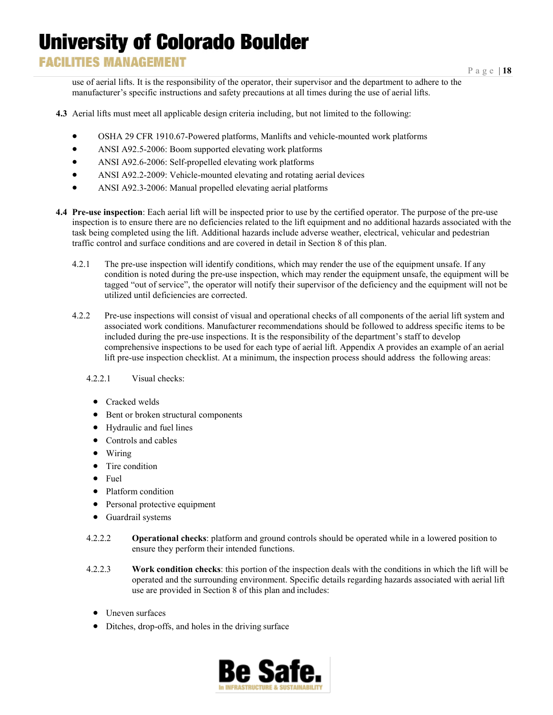### **FACILITIES MANAGEMENT**

Page | **18**

use of aerial lifts. It is the responsibility of the operator, their supervisor and the department to adhere to the manufacturer's specific instructions and safety precautions at all times during the use of aerial lifts.

- **4.3** Aerial lifts must meet all applicable design criteria including, but not limited to the following:
	- OSHA 29 CFR 1910.67-Powered platforms, Manlifts and vehicle-mounted work platforms
	- ANSI A92.5-2006: Boom supported elevating work platforms
	- ANSI A92.6-2006: Self-propelled elevating work platforms
	- ANSI A92.2-2009: Vehicle-mounted elevating and rotating aerial devices
	- ANSI A92.3-2006: Manual propelled elevating aerial platforms
- **4.4 Pre-use inspection**: Each aerial lift will be inspected prior to use by the certified operator. The purpose of the pre-use inspection is to ensure there are no deficiencies related to the lift equipment and no additional hazards associated with the task being completed using the lift. Additional hazards include adverse weather, electrical, vehicular and pedestrian traffic control and surface conditions and are covered in detail in Section 8 of this plan.
	- 4.2.1 The pre-use inspection will identify conditions, which may render the use of the equipment unsafe. If any condition is noted during the pre-use inspection, which may render the equipment unsafe, the equipment will be tagged "out of service", the operator will notify their supervisor of the deficiency and the equipment will not be utilized until deficiencies are corrected.
	- 4.2.2 Pre-use inspections will consist of visual and operational checks of all components of the aerial lift system and associated work conditions. Manufacturer recommendations should be followed to address specific items to be included during the pre-use inspections. It is the responsibility of the department's staff to develop comprehensive inspections to be used for each type of aerial lift. Appendix A provides an example of an aerial lift pre-use inspection checklist. At a minimum, the inspection process should address the following areas:

#### 4.2.2.1 Visual checks:

- Cracked welds
- Bent or broken structural components
- Hydraulic and fuel lines
- Controls and cables
- Wiring
- Tire condition
- Fuel
- Platform condition
- Personal protective equipment
- Guardrail systems
- 4.2.2.2 **Operational checks**: platform and ground controls should be operated while in a lowered position to ensure they perform their intended functions.
- 4.2.2.3 **Work condition checks**: this portion of the inspection deals with the conditions in which the lift will be operated and the surrounding environment. Specific details regarding hazards associated with aerial lift use are provided in Section 8 of this plan and includes:
	- Uneven surfaces
	- Ditches, drop-offs, and holes in the driving surface

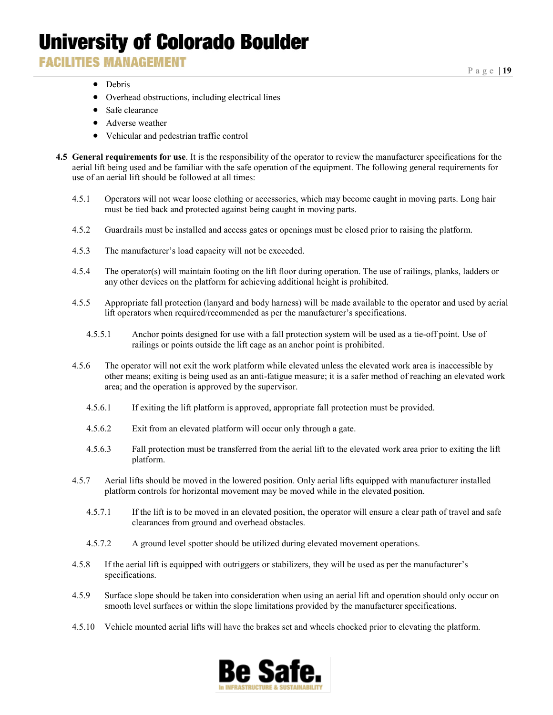**FACILITIES MANAGEMENT** 

- Debris
- Overhead obstructions, including electrical lines
- Safe clearance
- Adverse weather
- Vehicular and pedestrian traffic control
- **4.5 General requirements for use**. It is the responsibility of the operator to review the manufacturer specifications for the aerial lift being used and be familiar with the safe operation of the equipment. The following general requirements for use of an aerial lift should be followed at all times:
	- 4.5.1 Operators will not wear loose clothing or accessories, which may become caught in moving parts. Long hair must be tied back and protected against being caught in moving parts.
	- 4.5.2 Guardrails must be installed and access gates or openings must be closed prior to raising the platform.
	- 4.5.3 The manufacturer's load capacity will not be exceeded.
	- 4.5.4 The operator(s) will maintain footing on the lift floor during operation. The use of railings, planks, ladders or any other devices on the platform for achieving additional height is prohibited.
	- 4.5.5 Appropriate fall protection (lanyard and body harness) will be made available to the operator and used by aerial lift operators when required/recommended as per the manufacturer's specifications.
		- 4.5.5.1 Anchor points designed for use with a fall protection system will be used as a tie-off point. Use of railings or points outside the lift cage as an anchor point is prohibited.
	- 4.5.6 The operator will not exit the work platform while elevated unless the elevated work area is inaccessible by other means; exiting is being used as an anti-fatigue measure; it is a safer method of reaching an elevated work area; and the operation is approved by the supervisor.
		- 4.5.6.1 If exiting the lift platform is approved, appropriate fall protection must be provided.
		- 4.5.6.2 Exit from an elevated platform will occur only through a gate.
		- 4.5.6.3 Fall protection must be transferred from the aerial lift to the elevated work area prior to exiting the lift platform.
	- 4.5.7 Aerial lifts should be moved in the lowered position. Only aerial lifts equipped with manufacturer installed platform controls for horizontal movement may be moved while in the elevated position.
		- 4.5.7.1 If the lift is to be moved in an elevated position, the operator will ensure a clear path of travel and safe clearances from ground and overhead obstacles.
		- 4.5.7.2 A ground level spotter should be utilized during elevated movement operations.
	- 4.5.8 If the aerial lift is equipped with outriggers or stabilizers, they will be used as per the manufacturer's specifications.
	- 4.5.9 Surface slope should be taken into consideration when using an aerial lift and operation should only occur on smooth level surfaces or within the slope limitations provided by the manufacturer specifications.
	- 4.5.10 Vehicle mounted aerial lifts will have the brakes set and wheels chocked prior to elevating the platform.

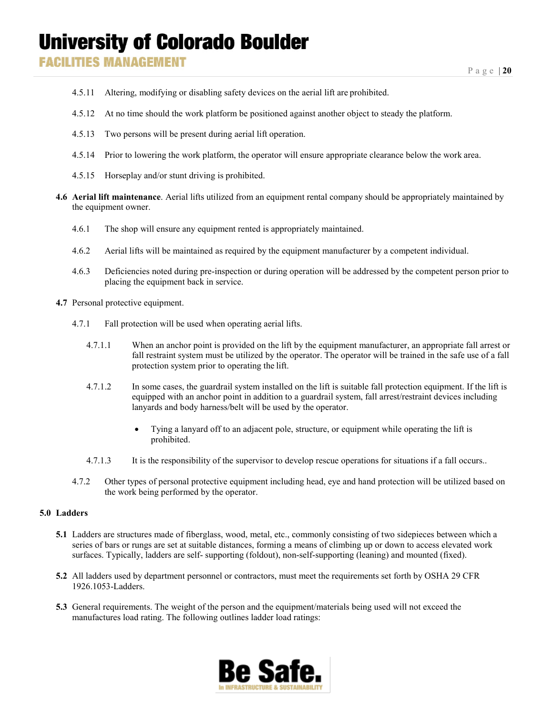- 4.5.11 Altering, modifying or disabling safety devices on the aerial lift are prohibited.
- 4.5.12 At no time should the work platform be positioned against another object to steady the platform.
- 4.5.13 Two persons will be present during aerial lift operation.
- 4.5.14 Prior to lowering the work platform, the operator will ensure appropriate clearance below the work area.
- 4.5.15 Horseplay and/or stunt driving is prohibited.
- **4.6 Aerial lift maintenance**. Aerial lifts utilized from an equipment rental company should be appropriately maintained by the equipment owner.
	- 4.6.1 The shop will ensure any equipment rented is appropriately maintained.
	- 4.6.2 Aerial lifts will be maintained as required by the equipment manufacturer by a competent individual.
	- 4.6.3 Deficiencies noted during pre-inspection or during operation will be addressed by the competent person prior to placing the equipment back in service.
- **4.7** Personal protective equipment.
	- 4.7.1 Fall protection will be used when operating aerial lifts.
		- 4.7.1.1 When an anchor point is provided on the lift by the equipment manufacturer, an appropriate fall arrest or fall restraint system must be utilized by the operator. The operator will be trained in the safe use of a fall protection system prior to operating the lift.
		- 4.7.1.2 In some cases, the guardrail system installed on the lift is suitable fall protection equipment. If the lift is equipped with an anchor point in addition to a guardrail system, fall arrest/restraint devices including lanyards and body harness/belt will be used by the operator.
			- Tying a lanyard off to an adjacent pole, structure, or equipment while operating the lift is prohibited.
		- 4.7.1.3 It is the responsibility of the supervisor to develop rescue operations for situations if a fall occurs..
	- 4.7.2 Other types of personal protective equipment including head, eye and hand protection will be utilized based on the work being performed by the operator.

#### **5.0 Ladders**

- **5.1** Ladders are structures made of fiberglass, wood, metal, etc., commonly consisting of two sidepieces between which a series of bars or rungs are set at suitable distances, forming a means of climbing up or down to access elevated work surfaces. Typically, ladders are self- supporting (foldout), non-self-supporting (leaning) and mounted (fixed).
- **5.2** All ladders used by department personnel or contractors, must meet the requirements set forth by OSHA 29 CFR 1926.1053-Ladders.
- **5.3** General requirements. The weight of the person and the equipment/materials being used will not exceed the manufactures load rating. The following outlines ladder load ratings:

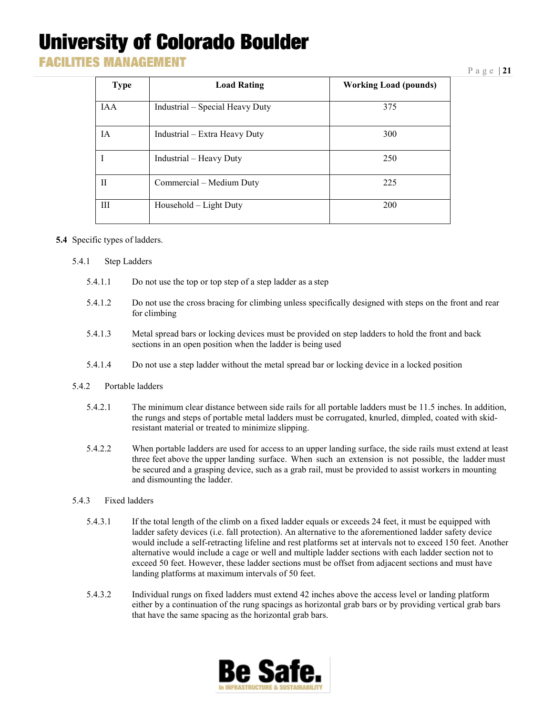**FACILITIES MANAGEMENT** 

#### Page | **21**

| <b>Type</b> | <b>Load Rating</b>              | <b>Working Load (pounds)</b> |
|-------------|---------------------------------|------------------------------|
| <b>IAA</b>  | Industrial – Special Heavy Duty | 375                          |
| IA          | Industrial - Extra Heavy Duty   | 300                          |
|             | Industrial - Heavy Duty         | 250                          |
| $_{\rm II}$ | Commercial – Medium Duty        | 225                          |
| Ш           | Household – Light Duty          | 200                          |

#### **5.4** Specific types of ladders.

- 5.4.1 Step Ladders
	- 5.4.1.1 Do not use the top or top step of a step ladder as a step
	- 5.4.1.2 Do not use the cross bracing for climbing unless specifically designed with steps on the front and rear for climbing
	- 5.4.1.3 Metal spread bars or locking devices must be provided on step ladders to hold the front and back sections in an open position when the ladder is being used
	- 5.4.1.4 Do not use a step ladder without the metal spread bar or locking device in a locked position

#### 5.4.2 Portable ladders

- 5.4.2.1 The minimum clear distance between side rails for all portable ladders must be 11.5 inches. In addition, the rungs and steps of portable metal ladders must be corrugated, knurled, dimpled, coated with skidresistant material or treated to minimize slipping.
- 5.4.2.2 When portable ladders are used for access to an upper landing surface, the side rails must extend at least three feet above the upper landing surface. When such an extension is not possible, the ladder must be secured and a grasping device, such as a grab rail, must be provided to assist workers in mounting and dismounting the ladder.

#### 5.4.3 Fixed ladders

- 5.4.3.1 If the total length of the climb on a fixed ladder equals or exceeds 24 feet, it must be equipped with ladder safety devices (i.e. fall protection). An alternative to the aforementioned ladder safety device would include a self-retracting lifeline and rest platforms set at intervals not to exceed 150 feet. Another alternative would include a cage or well and multiple ladder sections with each ladder section not to exceed 50 feet. However, these ladder sections must be offset from adjacent sections and must have landing platforms at maximum intervals of 50 feet.
- 5.4.3.2 Individual rungs on fixed ladders must extend 42 inches above the access level or landing platform either by a continuation of the rung spacings as horizontal grab bars or by providing vertical grab bars that have the same spacing as the horizontal grab bars.

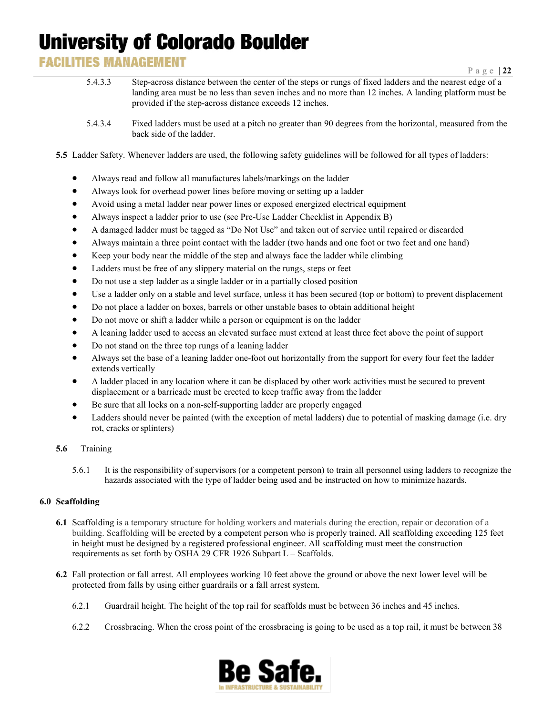### **FACILITIES MANAGEMENT**

- 5.4.3.3 Step-across distance between the center of the steps or rungs of fixed ladders and the nearest edge of a landing area must be no less than seven inches and no more than 12 inches. A landing platform must be provided if the step-across distance exceeds 12 inches.
- 5.4.3.4 Fixed ladders must be used at a pitch no greater than 90 degrees from the horizontal, measured from the back side of the ladder.
- **5.5** Ladder Safety. Whenever ladders are used, the following safety guidelines will be followed for all types of ladders:
	- Always read and follow all manufactures labels/markings on the ladder
	- Always look for overhead power lines before moving or setting up a ladder
	- Avoid using a metal ladder near power lines or exposed energized electrical equipment
	- Always inspect a ladder prior to use (see Pre-Use Ladder Checklist in Appendix B)
	- A damaged ladder must be tagged as "Do Not Use" and taken out of service until repaired or discarded
	- Always maintain a three point contact with the ladder (two hands and one foot or two feet and one hand)
	- Keep your body near the middle of the step and always face the ladder while climbing
	- Ladders must be free of any slippery material on the rungs, steps or feet
	- Do not use a step ladder as a single ladder or in a partially closed position
	- Use a ladder only on a stable and level surface, unless it has been secured (top or bottom) to prevent displacement
	- Do not place a ladder on boxes, barrels or other unstable bases to obtain additional height
	- Do not move or shift a ladder while a person or equipment is on the ladder
	- A leaning ladder used to access an elevated surface must extend at least three feet above the point of support
	- Do not stand on the three top rungs of a leaning ladder
	- Always set the base of a leaning ladder one-foot out horizontally from the support for every four feet the ladder extends vertically
	- A ladder placed in any location where it can be displaced by other work activities must be secured to prevent displacement or a barricade must be erected to keep traffic away from the ladder
	- Be sure that all locks on a non-self-supporting ladder are properly engaged
	- Ladders should never be painted (with the exception of metal ladders) due to potential of masking damage (i.e. dry rot, cracks orsplinters)

#### **5.6** Training

5.6.1 It is the responsibility of supervisors (or a competent person) to train all personnel using ladders to recognize the hazards associated with the type of ladder being used and be instructed on how to minimize hazards.

#### **6.0 Scaffolding**

- **6.1** Scaffolding is a temporary structure for holding workers and materials during [the](http://dictionary.reference.com/browse/the) erection, repair or decoration of a building. Scaffolding will be erected by a competent person who is properly trained. All scaffolding exceeding 125 feet in height must be designed by a registered professional engineer. All scaffolding must meet the construction requirements as set forth by OSHA 29 CFR 1926 Subpart L - Scaffolds.
- **6.2** Fall protection or fall arrest. All employees working 10 feet above the ground or above the next lower level will be protected from falls by using either guardrails or a fall arrest system.
	- 6.2.1 Guardrail height. The height of the top rail for scaffolds must be between 36 inches and 45 inches.
	- 6.2.2 Crossbracing. When the cross point of the crossbracing is going to be used as a top rail, it must be between 38

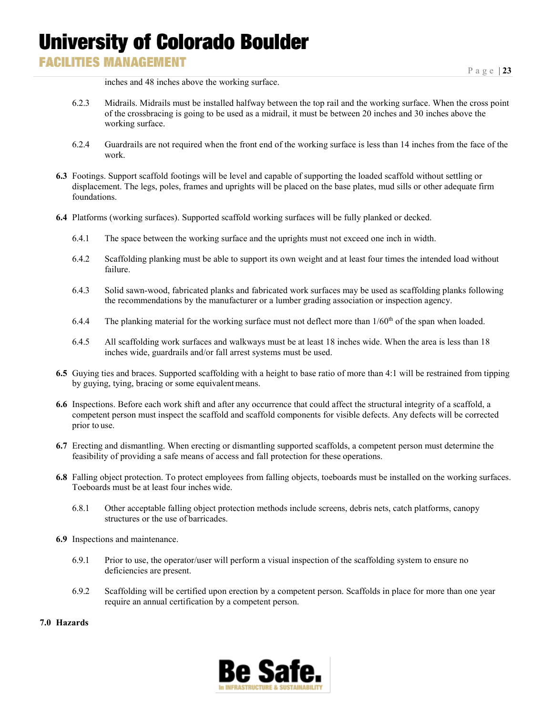### **FACILITIES MANAGEMENT**

inches and 48 inches above the working surface.

- 6.2.3 Midrails. Midrails must be installed halfway between the top rail and the working surface. When the cross point of the crossbracing is going to be used as a midrail, it must be between 20 inches and 30 inches above the working surface.
- 6.2.4 Guardrails are not required when the front end of the working surface is less than 14 inches from the face of the work.
- **6.3** Footings. Support scaffold footings will be level and capable of supporting the loaded scaffold without settling or displacement. The legs, poles, frames and uprights will be placed on the base plates, mud sills or other adequate firm foundations.
- **6.4** Platforms (working surfaces). Supported scaffold working surfaces will be fully planked or decked.
	- 6.4.1 The space between the working surface and the uprights must not exceed one inch in width.
	- 6.4.2 Scaffolding planking must be able to support its own weight and at least four times the intended load without failure.
	- 6.4.3 Solid sawn-wood, fabricated planks and fabricated work surfaces may be used as scaffolding planks following the recommendations by the manufacturer or a lumber grading association or inspection agency.
	- 6.4.4 The planking material for the working surface must not deflect more than  $1/60<sup>th</sup>$  of the span when loaded.
	- 6.4.5 All scaffolding work surfaces and walkways must be at least 18 inches wide. When the area is less than 18 inches wide, guardrails and/or fall arrest systems must be used.
- **6.5** Guying ties and braces. Supported scaffolding with a height to base ratio of more than 4:1 will be restrained from tipping by guying, tying, bracing or some equivalentmeans.
- **6.6** Inspections. Before each work shift and after any occurrence that could affect the structural integrity of a scaffold, a competent person must inspect the scaffold and scaffold components for visible defects. Any defects will be corrected prior to use.
- **6.7** Erecting and dismantling. When erecting or dismantling supported scaffolds, a competent person must determine the feasibility of providing a safe means of access and fall protection for these operations.
- **6.8** Falling object protection. To protect employees from falling objects, toeboards must be installed on the working surfaces. Toeboards must be at least four inches wide.
	- 6.8.1 Other acceptable falling object protection methods include screens, debris nets, catch platforms, canopy structures or the use of barricades.
- **6.9** Inspections and maintenance.
	- 6.9.1 Prior to use, the operator/user will perform a visual inspection of the scaffolding system to ensure no deficiencies are present.
	- 6.9.2 Scaffolding will be certified upon erection by a competent person. Scaffolds in place for more than one year require an annual certification by a competent person.

#### **7.0 Hazards**

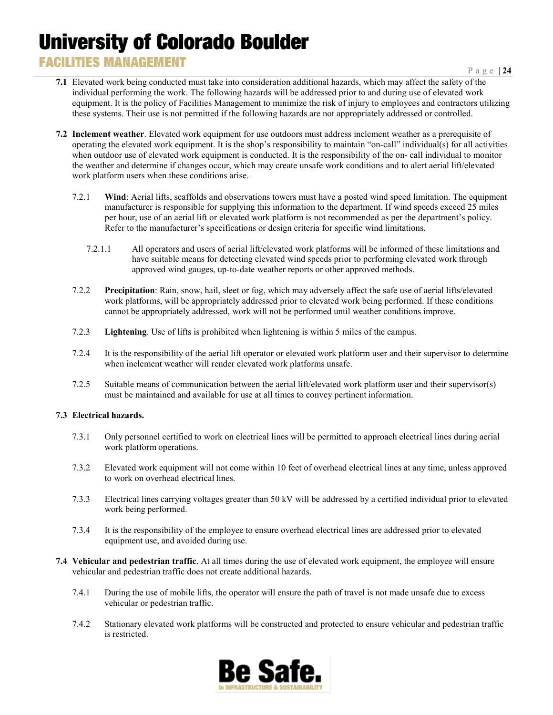### **FACILITIES MANAGEMENT**

Page | **24**

- **7.1** Elevated work being conducted must take into consideration additional hazards, which may affect the safety of the individual performing the work. The following hazards will be addressed prior to and during use of elevated work equipment. It is the policy of Facilities Management to minimize the risk of injury to employees and contractors utilizing these systems. Their use is not permitted if the following hazards are not appropriately addressed or controlled.
- **7.2 Inclement weather**. Elevated work equipment for use outdoors must address inclement weather as a prerequisite of operating the elevated work equipment. It is the shop's responsibility to maintain "on-call" individual(s) for all activities when outdoor use of elevated work equipment is conducted. It is the responsibility of the on- call individual to monitor the weather and determine if changes occur, which may create unsafe work conditions and to alert aerial lift/elevated work platform users when these conditions arise.
	- 7.2.1 **Wind**: Aerial lifts, scaffolds and observations towers must have a posted wind speed limitation. The equipment manufacturer is responsible for supplying this information to the department. If wind speeds exceed 25 miles per hour, use of an aerial lift or elevated work platform is not recommended as per the department's policy. Refer to the manufacturer's specifications or design criteria for specific wind limitations.
		- 7.2.1.1 All operators and users of aerial lift/elevated work platforms will be informed of these limitations and have suitable means for detecting elevated wind speeds prior to performing elevated work through approved wind gauges, up-to-date weather reports or other approved methods.
	- 7.2.2 **Precipitation**: Rain, snow, hail, sleet or fog, which may adversely affect the safe use of aerial lifts/elevated work platforms, will be appropriately addressed prior to elevated work being performed. If these conditions cannot be appropriately addressed, work will not be performed until weather conditions improve.
	- 7.2.3 **Lightening**. Use of lifts is prohibited when lightening is within 5 miles of the campus.
	- 7.2.4 It is the responsibility of the aerial lift operator or elevated work platform user and their supervisor to determine when inclement weather will render elevated work platforms unsafe.
	- 7.2.5 Suitable means of communication between the aerial lift/elevated work platform user and their supervisor(s) must be maintained and available for use at all times to convey pertinent information.

#### **7.3 Electrical hazards.**

- 7.3.1 Only personnel certified to work on electrical lines will be permitted to approach electrical lines during aerial work platform operations.
- 7.3.2 Elevated work equipment will not come within 10 feet of overhead electrical lines at any time, unless approved to work on overhead electrical lines.
- 7.3.3 Electrical lines carrying voltages greater than 50 kV will be addressed by a certified individual prior to elevated work being performed.
- 7.3.4 It is the responsibility of the employee to ensure overhead electrical lines are addressed prior to elevated equipment use, and avoided during use.
- **7.4 Vehicular and pedestrian traffic**. At all times during the use of elevated work equipment, the employee will ensure vehicular and pedestrian traffic does not create additional hazards.
	- 7.4.1 During the use of mobile lifts, the operator will ensure the path of travel is not made unsafe due to excess vehicular or pedestrian traffic.
	- 7.4.2 Stationary elevated work platforms will be constructed and protected to ensure vehicular and pedestrian traffic is restricted.

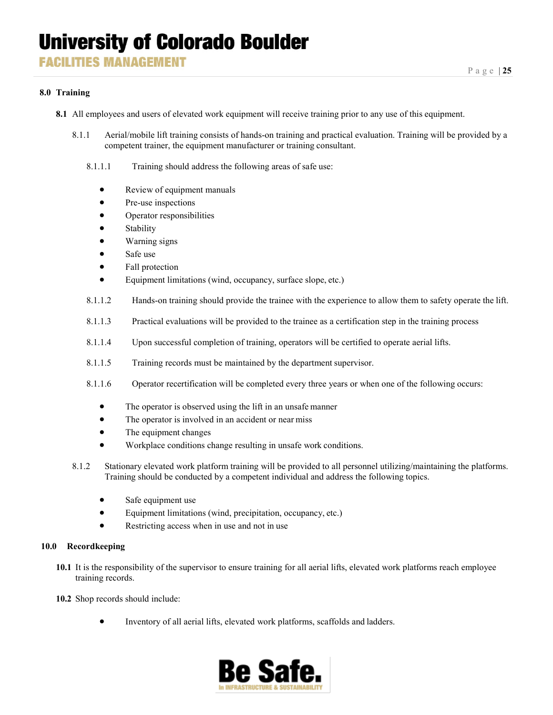#### **8.0 Training**

- **8.1** All employees and users of elevated work equipment will receive training prior to any use of this equipment.
	- 8.1.1 Aerial/mobile lift training consists of hands-on training and practical evaluation. Training will be provided by a competent trainer, the equipment manufacturer or training consultant.
		- 8.1.1.1 Training should address the following areas of safe use:
			- Review of equipment manuals
			- Pre-use inspections
			- Operator responsibilities
			- **Stability**
			- Warning signs
			- Safe use
			- Fall protection
			- Equipment limitations (wind, occupancy, surface slope, etc.)
		- 8.1.1.2 Hands-on training should provide the trainee with the experience to allow them to safety operate the lift.
		- 8.1.1.3 Practical evaluations will be provided to the trainee as a certification step in the training process
		- 8.1.1.4 Upon successful completion of training, operators will be certified to operate aerial lifts.
		- 8.1.1.5 Training records must be maintained by the department supervisor.
		- 8.1.1.6 Operator recertification will be completed every three years or when one of the following occurs:
			- The operator is observed using the lift in an unsafe manner
			- The operator is involved in an accident or near miss
			- The equipment changes
			- Workplace conditions change resulting in unsafe work conditions.
	- 8.1.2 Stationary elevated work platform training will be provided to all personnel utilizing/maintaining the platforms. Training should be conducted by a competent individual and address the following topics.
		- Safe equipment use
		- Equipment limitations (wind, precipitation, occupancy, etc.)
		- Restricting access when in use and not in use

#### **10.0 Recordkeeping**

- **10.1** It is the responsibility of the supervisor to ensure training for all aerial lifts, elevated work platforms reach employee training records.
- **10.2** Shop records should include:
	- Inventory of all aerial lifts, elevated work platforms, scaffolds and ladders.

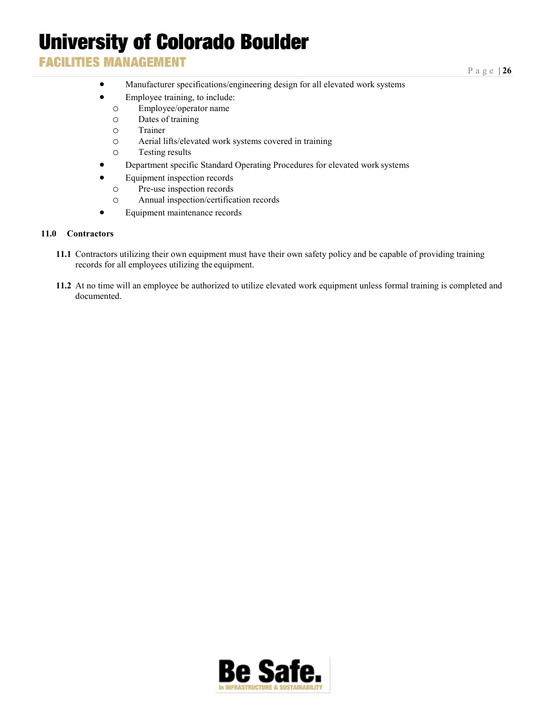### **FACILITIES MANAGEMENT**

- Manufacturer specifications/engineering design for all elevated work systems
- Employee training, to include:
	- o Employee/operator name
	- o Dates of training
	- o Trainer
	- o Aerial lifts/elevated work systems covered in training
	- Testing results
- Department specific Standard Operating Procedures for elevated work systems
- Equipment inspection records
	- o Pre-use inspection records
	- o Annual inspection/certification records
- Equipment maintenance records

#### **11.0 Contractors**

- **11.1** Contractors utilizing their own equipment must have their own safety policy and be capable of providing training records for all employees utilizing the equipment.
- **11.2** At no time will an employee be authorized to utilize elevated work equipment unless formal training is completed and documented.

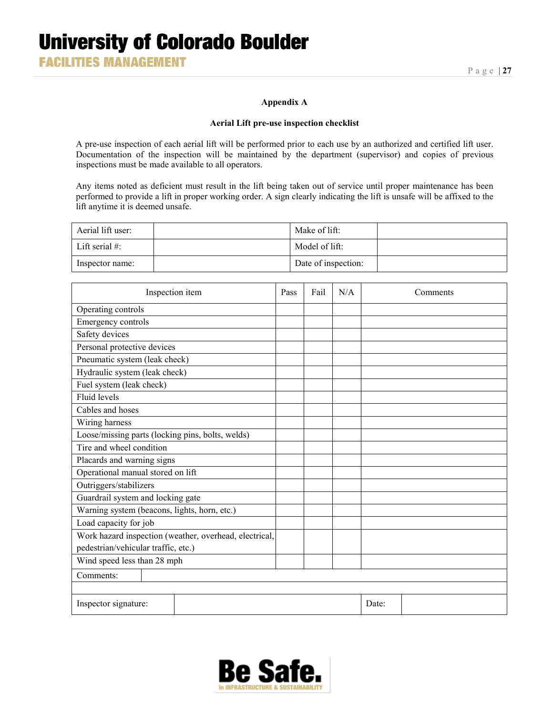#### **Appendix A**

#### **Aerial Lift pre-use inspection checklist**

A pre-use inspection of each aerial lift will be performed prior to each use by an authorized and certified lift user. Documentation of the inspection will be maintained by the department (supervisor) and copies of previous inspections must be made available to all operators.

Any items noted as deficient must result in the lift being taken out of service until proper maintenance has been performed to provide a lift in proper working order. A sign clearly indicating the lift is unsafe will be affixed to the lift anytime it is deemed unsafe.

| Aerial lift user: | Make of lift:       |  |
|-------------------|---------------------|--|
| Lift serial $#$ : | Model of lift:      |  |
| Inspector name:   | Date of inspection: |  |

| Inspection item                                        | Pass | Fail | N/A |       | Comments |
|--------------------------------------------------------|------|------|-----|-------|----------|
| Operating controls                                     |      |      |     |       |          |
| <b>Emergency controls</b>                              |      |      |     |       |          |
| Safety devices                                         |      |      |     |       |          |
| Personal protective devices                            |      |      |     |       |          |
| Pneumatic system (leak check)                          |      |      |     |       |          |
| Hydraulic system (leak check)                          |      |      |     |       |          |
| Fuel system (leak check)                               |      |      |     |       |          |
| Fluid levels                                           |      |      |     |       |          |
| Cables and hoses                                       |      |      |     |       |          |
| Wiring harness                                         |      |      |     |       |          |
| Loose/missing parts (locking pins, bolts, welds)       |      |      |     |       |          |
| Tire and wheel condition                               |      |      |     |       |          |
| Placards and warning signs                             |      |      |     |       |          |
| Operational manual stored on lift                      |      |      |     |       |          |
| Outriggers/stabilizers                                 |      |      |     |       |          |
| Guardrail system and locking gate                      |      |      |     |       |          |
| Warning system (beacons, lights, horn, etc.)           |      |      |     |       |          |
| Load capacity for job                                  |      |      |     |       |          |
| Work hazard inspection (weather, overhead, electrical, |      |      |     |       |          |
| pedestrian/vehicular traffic, etc.)                    |      |      |     |       |          |
| Wind speed less than 28 mph                            |      |      |     |       |          |
| Comments:                                              |      |      |     |       |          |
|                                                        |      |      |     |       |          |
| Inspector signature:                                   |      |      |     | Date: |          |

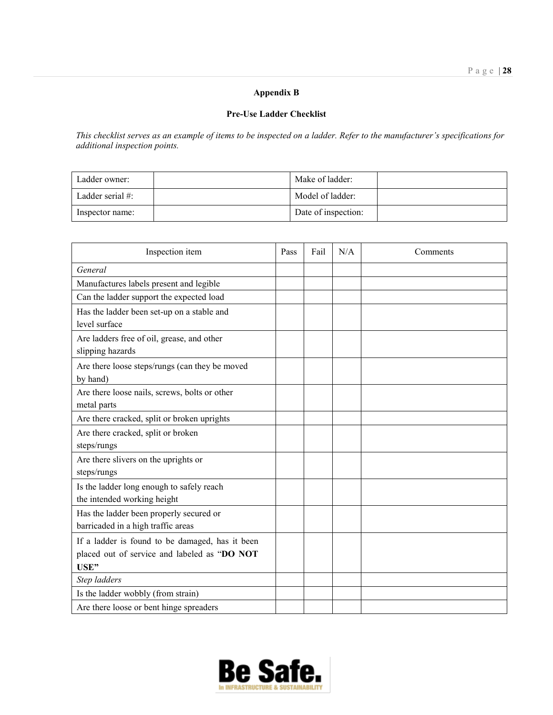### **Appendix B**

#### **Pre-Use Ladder Checklist**

*This checklist serves as an example of items to be inspected on a ladder. Refer to the manufacturer's specifications for additional inspection points.*

| Ladder owner:    | Make of ladder:     |  |
|------------------|---------------------|--|
| Ladder serial #: | Model of ladder:    |  |
| Inspector name:  | Date of inspection: |  |

| Inspection item                                                                                         | Pass | Fail | N/A | Comments |
|---------------------------------------------------------------------------------------------------------|------|------|-----|----------|
| General                                                                                                 |      |      |     |          |
| Manufactures labels present and legible                                                                 |      |      |     |          |
| Can the ladder support the expected load                                                                |      |      |     |          |
| Has the ladder been set-up on a stable and<br>level surface                                             |      |      |     |          |
| Are ladders free of oil, grease, and other<br>slipping hazards                                          |      |      |     |          |
| Are there loose steps/rungs (can they be moved<br>by hand)                                              |      |      |     |          |
| Are there loose nails, screws, bolts or other<br>metal parts                                            |      |      |     |          |
| Are there cracked, split or broken uprights                                                             |      |      |     |          |
| Are there cracked, split or broken<br>steps/rungs                                                       |      |      |     |          |
| Are there slivers on the uprights or<br>steps/rungs                                                     |      |      |     |          |
| Is the ladder long enough to safely reach<br>the intended working height                                |      |      |     |          |
| Has the ladder been properly secured or<br>barricaded in a high traffic areas                           |      |      |     |          |
| If a ladder is found to be damaged, has it been<br>placed out of service and labeled as "DO NOT<br>USE" |      |      |     |          |
| Step ladders                                                                                            |      |      |     |          |
| Is the ladder wobbly (from strain)                                                                      |      |      |     |          |
| Are there loose or bent hinge spreaders                                                                 |      |      |     |          |

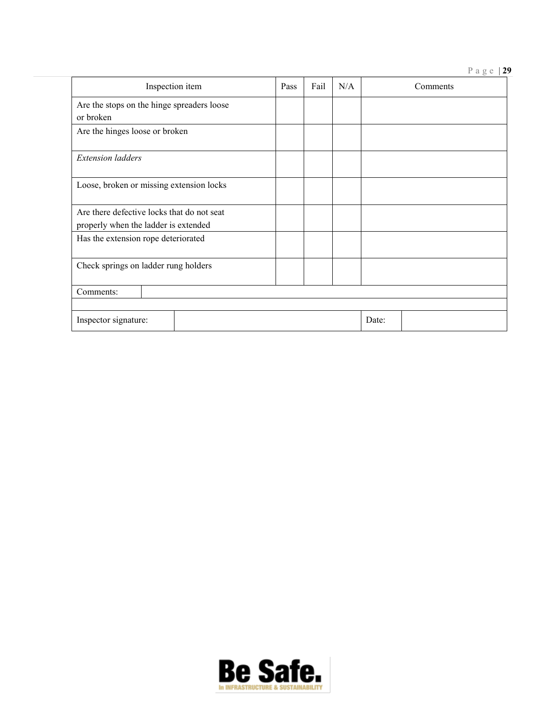#### Page | **29**

| Inspection item                                                                    | Pass | Fail | N/A | Comments |
|------------------------------------------------------------------------------------|------|------|-----|----------|
| Are the stops on the hinge spreaders loose<br>or broken                            |      |      |     |          |
| Are the hinges loose or broken                                                     |      |      |     |          |
| <b>Extension</b> ladders                                                           |      |      |     |          |
| Loose, broken or missing extension locks                                           |      |      |     |          |
| Are there defective locks that do not seat<br>properly when the ladder is extended |      |      |     |          |
| Has the extension rope deteriorated                                                |      |      |     |          |
| Check springs on ladder rung holders                                               |      |      |     |          |
| Comments:                                                                          |      |      |     |          |
| Inspector signature:                                                               |      |      |     | Date:    |

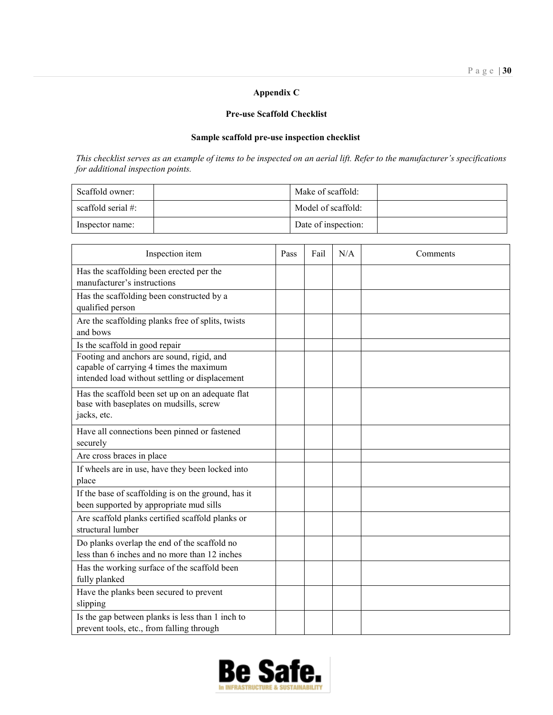#### **Appendix C**

#### **Pre-use Scaffold Checklist**

### **Sample scaffold pre-use inspection checklist**

*This checklist serves as an example of items to be inspected on an aerial lift. Refer to the manufacturer's specifications for additional inspection points.*

| Scaffold owner:       | Make of scaffold:   |  |
|-----------------------|---------------------|--|
| scaffold serial $#$ : | Model of scaffold:  |  |
| Inspector name:       | Date of inspection: |  |

| Inspection item                                                                                                                        | Pass | Fail | N/A | Comments |
|----------------------------------------------------------------------------------------------------------------------------------------|------|------|-----|----------|
| Has the scaffolding been erected per the<br>manufacturer's instructions                                                                |      |      |     |          |
| Has the scaffolding been constructed by a<br>qualified person                                                                          |      |      |     |          |
| Are the scaffolding planks free of splits, twists<br>and bows                                                                          |      |      |     |          |
| Is the scaffold in good repair                                                                                                         |      |      |     |          |
| Footing and anchors are sound, rigid, and<br>capable of carrying 4 times the maximum<br>intended load without settling or displacement |      |      |     |          |
| Has the scaffold been set up on an adequate flat<br>base with baseplates on mudsills, screw<br>jacks, etc.                             |      |      |     |          |
| Have all connections been pinned or fastened<br>securely                                                                               |      |      |     |          |
| Are cross braces in place                                                                                                              |      |      |     |          |
| If wheels are in use, have they been locked into<br>place                                                                              |      |      |     |          |
| If the base of scaffolding is on the ground, has it<br>been supported by appropriate mud sills                                         |      |      |     |          |
| Are scaffold planks certified scaffold planks or<br>structural lumber                                                                  |      |      |     |          |
| Do planks overlap the end of the scaffold no<br>less than 6 inches and no more than 12 inches                                          |      |      |     |          |
| Has the working surface of the scaffold been<br>fully planked                                                                          |      |      |     |          |
| Have the planks been secured to prevent<br>slipping                                                                                    |      |      |     |          |
| Is the gap between planks is less than 1 inch to<br>prevent tools, etc., from falling through                                          |      |      |     |          |